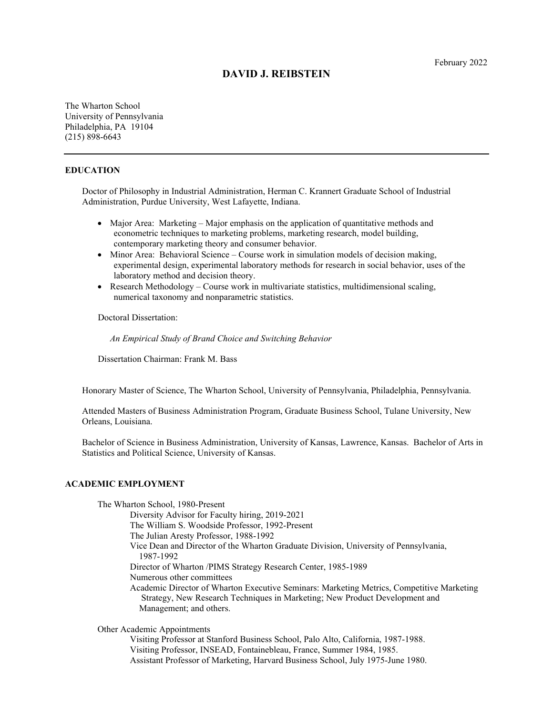# **DAVID J. REIBSTEIN**

The Wharton School University of Pennsylvania Philadelphia, PA 19104 (215) 898-6643

## **EDUCATION**

Doctor of Philosophy in Industrial Administration, Herman C. Krannert Graduate School of Industrial Administration, Purdue University, West Lafayette, Indiana.

- Major Area: Marketing Major emphasis on the application of quantitative methods and econometric techniques to marketing problems, marketing research, model building, contemporary marketing theory and consumer behavior.
- Minor Area: Behavioral Science Course work in simulation models of decision making, experimental design, experimental laboratory methods for research in social behavior, uses of the laboratory method and decision theory.
- Research Methodology Course work in multivariate statistics, multidimensional scaling, numerical taxonomy and nonparametric statistics.

Doctoral Dissertation:

*An Empirical Study of Brand Choice and Switching Behavior*

Dissertation Chairman: Frank M. Bass

Honorary Master of Science, The Wharton School, University of Pennsylvania, Philadelphia, Pennsylvania.

Attended Masters of Business Administration Program, Graduate Business School, Tulane University, New Orleans, Louisiana.

Bachelor of Science in Business Administration, University of Kansas, Lawrence, Kansas. Bachelor of Arts in Statistics and Political Science, University of Kansas.

### **ACADEMIC EMPLOYMENT**

The Wharton School, 1980-Present Diversity Advisor for Faculty hiring, 2019-2021 The William S. Woodside Professor, 1992-Present The Julian Aresty Professor, 1988-1992 Vice Dean and Director of the Wharton Graduate Division, University of Pennsylvania, 1987-1992 Director of Wharton /PIMS Strategy Research Center, 1985-1989 Numerous other committees Academic Director of Wharton Executive Seminars: Marketing Metrics, Competitive Marketing Strategy, New Research Techniques in Marketing; New Product Development and Management; and others.

Other Academic Appointments

Visiting Professor at Stanford Business School, Palo Alto, California, 1987-1988. Visiting Professor, INSEAD, Fontainebleau, France, Summer 1984, 1985. Assistant Professor of Marketing, Harvard Business School, July 1975-June 1980.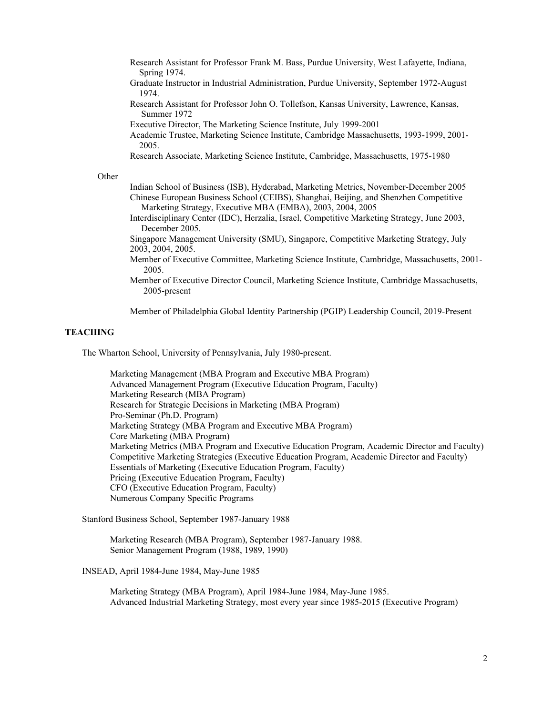- Research Assistant for Professor Frank M. Bass, Purdue University, West Lafayette, Indiana, Spring 1974.
- Graduate Instructor in Industrial Administration, Purdue University, September 1972-August 1974.
- Research Assistant for Professor John O. Tollefson, Kansas University, Lawrence, Kansas, Summer 1972
- Executive Director, The Marketing Science Institute, July 1999-2001
- Academic Trustee, Marketing Science Institute, Cambridge Massachusetts, 1993-1999, 2001- 2005.

Research Associate, Marketing Science Institute, Cambridge, Massachusetts, 1975-1980

### **Other**

- Indian School of Business (ISB), Hyderabad, Marketing Metrics, November-December 2005 Chinese European Business School (CEIBS), Shanghai, Beijing, and Shenzhen Competitive Marketing Strategy, Executive MBA (EMBA), 2003, 2004, 2005
- Interdisciplinary Center (IDC), Herzalia, Israel, Competitive Marketing Strategy, June 2003, December 2005.

Singapore Management University (SMU), Singapore, Competitive Marketing Strategy, July 2003, 2004, 2005.

- Member of Executive Committee, Marketing Science Institute, Cambridge, Massachusetts, 2001- 2005.
- Member of Executive Director Council, Marketing Science Institute, Cambridge Massachusetts, 2005-present

Member of Philadelphia Global Identity Partnership (PGIP) Leadership Council, 2019-Present

# **TEACHING**

The Wharton School, University of Pennsylvania, July 1980-present.

Marketing Management (MBA Program and Executive MBA Program) Advanced Management Program (Executive Education Program, Faculty) Marketing Research (MBA Program) Research for Strategic Decisions in Marketing (MBA Program) Pro-Seminar (Ph.D. Program) Marketing Strategy (MBA Program and Executive MBA Program) Core Marketing (MBA Program) Marketing Metrics (MBA Program and Executive Education Program, Academic Director and Faculty) Competitive Marketing Strategies (Executive Education Program, Academic Director and Faculty) Essentials of Marketing (Executive Education Program, Faculty) Pricing (Executive Education Program, Faculty) CFO (Executive Education Program, Faculty) Numerous Company Specific Programs

Stanford Business School, September 1987-January 1988

Marketing Research (MBA Program), September 1987-January 1988. Senior Management Program (1988, 1989, 1990)

INSEAD, April 1984-June 1984, May-June 1985

 Marketing Strategy (MBA Program), April 1984-June 1984, May-June 1985. Advanced Industrial Marketing Strategy, most every year since 1985-2015 (Executive Program)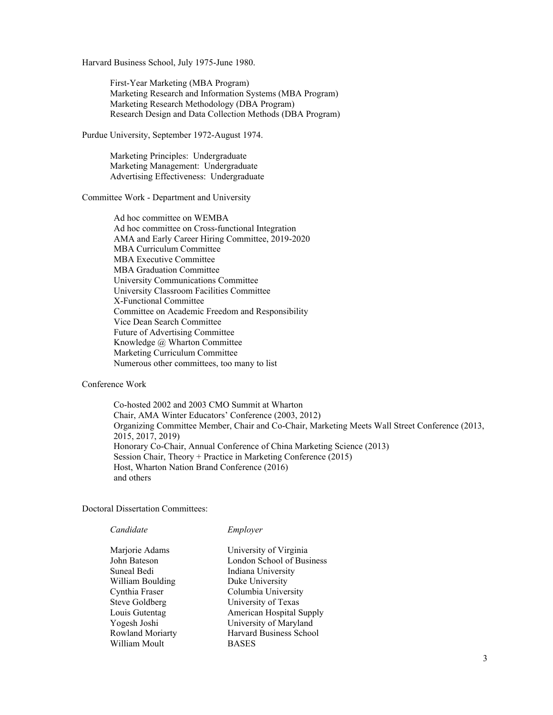Harvard Business School, July 1975-June 1980.

First-Year Marketing (MBA Program) Marketing Research and Information Systems (MBA Program) Marketing Research Methodology (DBA Program) Research Design and Data Collection Methods (DBA Program)

Purdue University, September 1972-August 1974.

Marketing Principles: Undergraduate Marketing Management: Undergraduate Advertising Effectiveness: Undergraduate

Committee Work - Department and University

Ad hoc committee on WEMBA Ad hoc committee on Cross-functional Integration AMA and Early Career Hiring Committee, 2019-2020 MBA Curriculum Committee MBA Executive Committee MBA Graduation Committee University Communications Committee University Classroom Facilities Committee X-Functional Committee Committee on Academic Freedom and Responsibility Vice Dean Search Committee Future of Advertising Committee Knowledge @ Wharton Committee Marketing Curriculum Committee Numerous other committees, too many to list

Conference Work

 Co-hosted 2002 and 2003 CMO Summit at Wharton Chair, AMA Winter Educators' Conference (2003, 2012) Organizing Committee Member, Chair and Co-Chair, Marketing Meets Wall Street Conference (2013, 2015, 2017, 2019) Honorary Co-Chair, Annual Conference of China Marketing Science (2013) Session Chair, Theory + Practice in Marketing Conference (2015) Host, Wharton Nation Brand Conference (2016) and others

Doctoral Dissertation Committees:

*Candidate Employer*

Suneal Bedi Indiana University William Boulding Duke University Cynthia Fraser Columbia University Steve Goldberg University of Texas Yogesh Joshi University of Maryland William Moult BASES

Marjorie Adams University of Virginia John Bateson London School of Business Louis Gutentag American Hospital Supply Rowland Moriarty Harvard Business School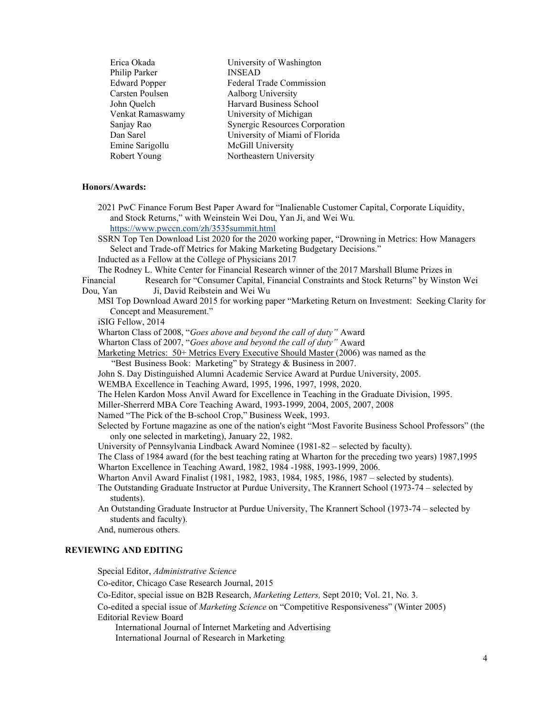| Erica Okada          | University of Washington       |
|----------------------|--------------------------------|
| Philip Parker        | <b>INSEAD</b>                  |
| <b>Edward Popper</b> | Federal Trade Commission       |
| Carsten Poulsen      | Aalborg University             |
| John Quelch          | Harvard Business School        |
| Venkat Ramaswamy     | University of Michigan         |
| Sanjay Rao           | Synergic Resources Corporation |
| Dan Sarel            | University of Miami of Florida |
| Emine Sarigollu      | McGill University              |
| Robert Young         | Northeastern University        |
|                      |                                |

### **Honors/Awards:**

 2021 PwC Finance Forum Best Paper Award for "Inalienable Customer Capital, Corporate Liquidity, and Stock Returns," with Weinstein Wei Dou, Yan Ji, and Wei Wu. https://www.pwccn.com/zh/3535summit.html

 SSRN Top Ten Download List 2020 for the 2020 working paper, "Drowning in Metrics: How Managers Select and Trade-off Metrics for Making Marketing Budgetary Decisions."

Inducted as a Fellow at the College of Physicians 2017

The Rodney L. White Center for Financial Research winner of the 2017 Marshall Blume Prizes in

- Financial Research for "Consumer Capital, Financial Constraints and Stock Returns" by Winston Wei Dou, Yan Ji, David Reibstein and Wei Wu
	- MSI Top Download Award 2015 for working paper "Marketing Return on Investment: Seeking Clarity for Concept and Measurement."

iSIG Fellow, 2014

Wharton Class of 2008, "*Goes above and beyond the call of duty"* Award

Wharton Class of 2007, "*Goes above and beyond the call of duty"* Award

Marketing Metrics: 50+ Metrics Every Executive Should Master (2006) was named as the

"Best Business Book: Marketing" by Strategy & Business in 2007.

John S. Day Distinguished Alumni Academic Service Award at Purdue University, 2005.

WEMBA Excellence in Teaching Award, 1995, 1996, 1997, 1998, 2020.

The Helen Kardon Moss Anvil Award for Excellence in Teaching in the Graduate Division, 1995.

Miller-Sherrerd MBA Core Teaching Award, 1993-1999, 2004, 2005, 2007, 2008

Named "The Pick of the B-school Crop," Business Week, 1993.

Selected by Fortune magazine as one of the nation's eight "Most Favorite Business School Professors" (the only one selected in marketing), January 22, 1982.

University of Pennsylvania Lindback Award Nominee (1981-82 – selected by faculty).

The Class of 1984 award (for the best teaching rating at Wharton for the preceding two years) 1987,1995 Wharton Excellence in Teaching Award, 1982, 1984 -1988, 1993-1999, 2006.

Wharton Anvil Award Finalist (1981, 1982, 1983, 1984, 1985, 1986, 1987 – selected by students).

The Outstanding Graduate Instructor at Purdue University, The Krannert School (1973-74 – selected by students).

 An Outstanding Graduate Instructor at Purdue University, The Krannert School (1973-74 – selected by students and faculty).

And, numerous others.

# **REVIEWING AND EDITING**

Special Editor, *Administrative Science*

Co-editor, Chicago Case Research Journal, 2015

Co-Editor, special issue on B2B Research, *Marketing Letters,* Sept 2010; Vol. 21, No. 3.

 Co-edited a special issue of *Marketing Science* on "Competitive Responsiveness" (Winter 2005) Editorial Review Board

International Journal of Internet Marketing and Advertising

International Journal of Research in Marketing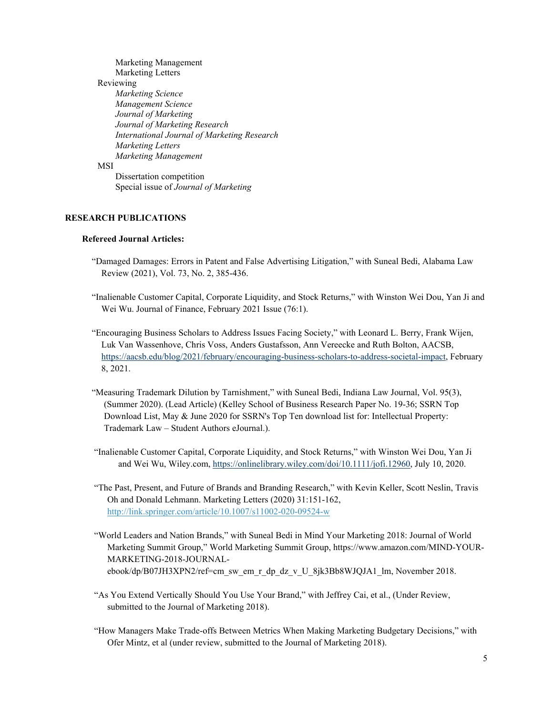# Marketing Management Marketing Letters Reviewing *Marketing Science Management Science Journal of Marketing Journal of Marketing Research International Journal of Marketing Research Marketing Letters Marketing Management*  MSI

 Dissertation competition Special issue of *Journal of Marketing* 

# **RESEARCH PUBLICATIONS**

# **Refereed Journal Articles:**

- "Damaged Damages: Errors in Patent and False Advertising Litigation," with Suneal Bedi, Alabama Law Review (2021), Vol. 73, No. 2, 385-436.
- "Inalienable Customer Capital, Corporate Liquidity, and Stock Returns," with Winston Wei Dou, Yan Ji and Wei Wu. Journal of Finance, February 2021 Issue (76:1).
- "Encouraging Business Scholars to Address Issues Facing Society," with Leonard L. Berry, Frank Wijen, Luk Van Wassenhove, Chris Voss, Anders Gustafsson, Ann Vereecke and Ruth Bolton, AACSB, https://aacsb.edu/blog/2021/february/encouraging-business-scholars-to-address-societal-impact, February 8, 2021.
- "Measuring Trademark Dilution by Tarnishment," with Suneal Bedi, Indiana Law Journal, Vol. 95(3), (Summer 2020). (Lead Article) (Kelley School of Business Research Paper No. 19-36; SSRN Top Download List, May & June 2020 for SSRN's Top Ten download list for: Intellectual Property: Trademark Law – Student Authors eJournal.).
- "Inalienable Customer Capital, Corporate Liquidity, and Stock Returns," with Winston Wei Dou, Yan Ji and Wei Wu, Wiley.com, https://onlinelibrary.wiley.com/doi/10.1111/jofi.12960, July 10, 2020.
- "The Past, Present, and Future of Brands and Branding Research," with Kevin Keller, Scott Neslin, Travis Oh and Donald Lehmann. Marketing Letters (2020) 31:151-162, http://link.springer.com/article/10.1007/s11002-020-09524-w
- "World Leaders and Nation Brands," with Suneal Bedi in Mind Your Marketing 2018: Journal of World Marketing Summit Group," World Marketing Summit Group, https://www.amazon.com/MIND-YOUR-MARKETING-2018-JOURNALebook/dp/B07JH3XPN2/ref=cm\_sw\_em\_r\_dp\_dz\_v\_U\_8jk3Bb8WJQJA1\_lm, November 2018.
- "As You Extend Vertically Should You Use Your Brand," with Jeffrey Cai, et al., (Under Review, submitted to the Journal of Marketing 2018).
- "How Managers Make Trade-offs Between Metrics When Making Marketing Budgetary Decisions," with Ofer Mintz, et al (under review, submitted to the Journal of Marketing 2018).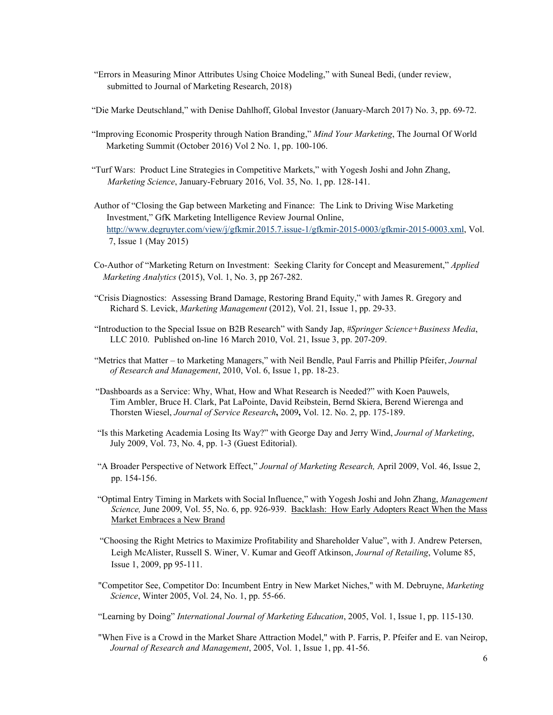- "Errors in Measuring Minor Attributes Using Choice Modeling," with Suneal Bedi, (under review, submitted to Journal of Marketing Research, 2018)
- "Die Marke Deutschland," with Denise Dahlhoff, Global Investor (January-March 2017) No. 3, pp. 69-72.
- "Improving Economic Prosperity through Nation Branding," *Mind Your Marketing*, The Journal Of World Marketing Summit (October 2016) Vol 2 No. 1, pp. 100-106.
- "Turf Wars: Product Line Strategies in Competitive Markets," with Yogesh Joshi and John Zhang,  *Marketing Science*, January-February 2016, Vol. 35, No. 1, pp. 128-141.
- Author of "Closing the Gap between Marketing and Finance: The Link to Driving Wise Marketing Investment," GfK Marketing Intelligence Review Journal Online, http://www.degruyter.com/view/j/gfkmir.2015.7.issue-1/gfkmir-2015-0003/gfkmir-2015-0003.xml, Vol. 7, Issue 1 (May 2015)
- Co-Author of "Marketing Return on Investment: Seeking Clarity for Concept and Measurement," *Applied Marketing Analytics* (2015), Vol. 1, No. 3, pp 267-282.
- "Crisis Diagnostics: Assessing Brand Damage, Restoring Brand Equity," with James R. Gregory and Richard S. Levick, *Marketing Management* (2012), Vol. 21, Issue 1, pp. 29-33.
- "Introduction to the Special Issue on B2B Research" with Sandy Jap, *#Springer Science+Business Media*, LLC 2010. Published on-line 16 March 2010, Vol. 21, Issue 3, pp. 207-209.
- "Metrics that Matter to Marketing Managers," with Neil Bendle, Paul Farris and Phillip Pfeifer, *Journal of Research and Management*, 2010, Vol. 6, Issue 1, pp. 18-23.
- "Dashboards as a Service: Why, What, How and What Research is Needed?" with Koen Pauwels, Tim Ambler, Bruce H. Clark, Pat LaPointe, David Reibstein, Bernd Skiera, Berend Wierenga and Thorsten Wiesel, *Journal of Service Research***,** 2009**,** Vol. 12. No. 2, pp. 175-189.
- "Is this Marketing Academia Losing Its Way?" with George Day and Jerry Wind, *Journal of Marketing*, July 2009, Vol. 73, No. 4, pp. 1-3 (Guest Editorial).
- "A Broader Perspective of Network Effect," *Journal of Marketing Research,* April 2009, Vol. 46, Issue 2, pp. 154-156.
- "Optimal Entry Timing in Markets with Social Influence," with Yogesh Joshi and John Zhang, *Management Science,* June 2009, Vol. 55, No. 6, pp. 926-939. Backlash: How Early Adopters React When the Mass Market Embraces a New Brand
- "Choosing the Right Metrics to Maximize Profitability and Shareholder Value", with J. Andrew Petersen, Leigh McAlister, Russell S. Winer, V. Kumar and Geoff Atkinson, *Journal of Retailing*, Volume 85, Issue 1, 2009, pp 95-111.
- "Competitor See, Competitor Do: Incumbent Entry in New Market Niches," with M. Debruyne, *Marketing Science*, Winter 2005, Vol. 24, No. 1, pp. 55-66.
- "Learning by Doing" *International Journal of Marketing Education*, 2005, Vol. 1, Issue 1, pp. 115-130.
- "When Five is a Crowd in the Market Share Attraction Model," with P. Farris, P. Pfeifer and E. van Neirop, *Journal of Research and Management*, 2005, Vol. 1, Issue 1, pp. 41-56.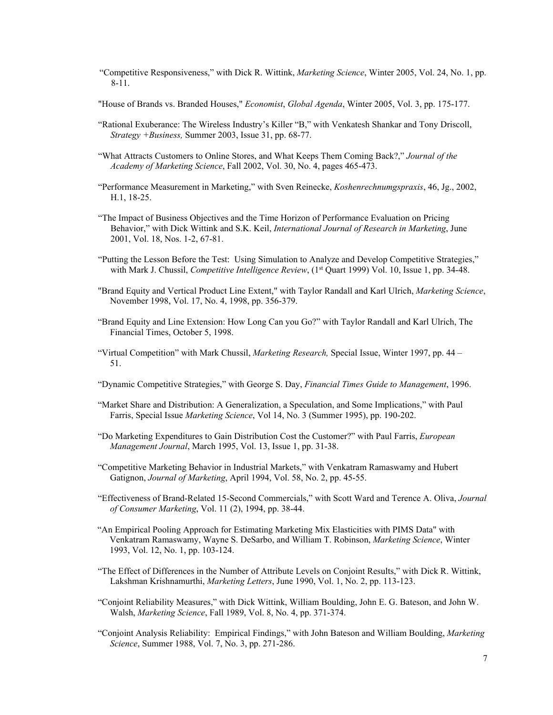- "Competitive Responsiveness," with Dick R. Wittink, *Marketing Science*, Winter 2005, Vol. 24, No. 1, pp. 8-11.
- "House of Brands vs. Branded Houses," *Economist*, *Global Agenda*, Winter 2005, Vol. 3, pp. 175-177.
- "Rational Exuberance: The Wireless Industry's Killer "B," with Venkatesh Shankar and Tony Driscoll, *Strategy +Business,* Summer 2003, Issue 31, pp. 68-77.
- "What Attracts Customers to Online Stores, and What Keeps Them Coming Back?," *Journal of the Academy of Marketing Science*, Fall 2002, Vol. 30, No. 4, pages 465-473.
- "Performance Measurement in Marketing," with Sven Reinecke, *Koshenrechnumgspraxis*, 46, Jg., 2002, H.1, 18-25.
- "The Impact of Business Objectives and the Time Horizon of Performance Evaluation on Pricing Behavior," with Dick Wittink and S.K. Keil, *International Journal of Research in Marketing*, June 2001, Vol. 18, Nos. 1-2, 67-81.
- "Putting the Lesson Before the Test: Using Simulation to Analyze and Develop Competitive Strategies," with Mark J. Chussil, *Competitive Intelligence Review*, (1<sup>st</sup> Quart 1999) Vol. 10, Issue 1, pp. 34-48.
- "Brand Equity and Vertical Product Line Extent," with Taylor Randall and Karl Ulrich, *Marketing Science*, November 1998, Vol. 17, No. 4, 1998, pp. 356-379.
- "Brand Equity and Line Extension: How Long Can you Go?" with Taylor Randall and Karl Ulrich, The Financial Times, October 5, 1998.
- "Virtual Competition" with Mark Chussil, *Marketing Research,* Special Issue, Winter 1997, pp. 44 51.
- "Dynamic Competitive Strategies," with George S. Day, *Financial Times Guide to Management*, 1996.
- "Market Share and Distribution: A Generalization, a Speculation, and Some Implications," with Paul Farris, Special Issue *Marketing Science*, Vol 14, No. 3 (Summer 1995), pp. 190-202.
- "Do Marketing Expenditures to Gain Distribution Cost the Customer?" with Paul Farris, *European Management Journal*, March 1995, Vol. 13, Issue 1, pp. 31-38.
- "Competitive Marketing Behavior in Industrial Markets," with Venkatram Ramaswamy and Hubert Gatignon, *Journal of Marketing*, April 1994, Vol. 58, No. 2, pp. 45-55.
- "Effectiveness of Brand-Related 15-Second Commercials," with Scott Ward and Terence A. Oliva, *Journal of Consumer Marketing*, Vol. 11 (2), 1994, pp. 38-44.
- "An Empirical Pooling Approach for Estimating Marketing Mix Elasticities with PIMS Data" with Venkatram Ramaswamy, Wayne S. DeSarbo, and William T. Robinson, *Marketing Science*, Winter 1993, Vol. 12, No. 1, pp. 103-124.
- "The Effect of Differences in the Number of Attribute Levels on Conjoint Results," with Dick R. Wittink, Lakshman Krishnamurthi, *Marketing Letters*, June 1990, Vol. 1, No. 2, pp. 113-123.
- "Conjoint Reliability Measures," with Dick Wittink, William Boulding, John E. G. Bateson, and John W. Walsh, *Marketing Science*, Fall 1989, Vol. 8, No. 4, pp. 371-374.
- "Conjoint Analysis Reliability: Empirical Findings," with John Bateson and William Boulding, *Marketing Science*, Summer 1988, Vol. 7, No. 3, pp. 271-286.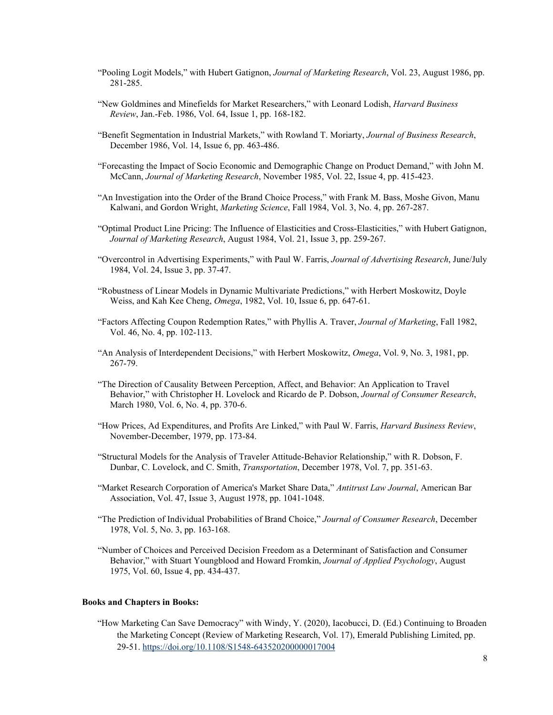- "Pooling Logit Models," with Hubert Gatignon, *Journal of Marketing Research*, Vol. 23, August 1986, pp. 281-285.
- "New Goldmines and Minefields for Market Researchers," with Leonard Lodish, *Harvard Business Review*, Jan.-Feb. 1986, Vol. 64, Issue 1, pp. 168-182.
- "Benefit Segmentation in Industrial Markets," with Rowland T. Moriarty, *Journal of Business Research*, December 1986, Vol. 14, Issue 6, pp. 463-486.
- "Forecasting the Impact of Socio Economic and Demographic Change on Product Demand," with John M. McCann, *Journal of Marketing Research*, November 1985, Vol. 22, Issue 4, pp. 415-423.
- "An Investigation into the Order of the Brand Choice Process," with Frank M. Bass, Moshe Givon, Manu Kalwani, and Gordon Wright, *Marketing Science*, Fall 1984, Vol. 3, No. 4, pp. 267-287.
- "Optimal Product Line Pricing: The Influence of Elasticities and Cross-Elasticities," with Hubert Gatignon, *Journal of Marketing Research*, August 1984, Vol. 21, Issue 3, pp. 259-267.
- "Overcontrol in Advertising Experiments," with Paul W. Farris, *Journal of Advertising Research*, June/July 1984, Vol. 24, Issue 3, pp. 37-47.
- "Robustness of Linear Models in Dynamic Multivariate Predictions," with Herbert Moskowitz, Doyle Weiss, and Kah Kee Cheng, *Omega*, 1982, Vol. 10, Issue 6, pp. 647-61.
- "Factors Affecting Coupon Redemption Rates," with Phyllis A. Traver, *Journal of Marketing*, Fall 1982, Vol. 46, No. 4, pp. 102-113.
- "An Analysis of Interdependent Decisions," with Herbert Moskowitz, *Omega*, Vol. 9, No. 3, 1981, pp. 267-79.
- "The Direction of Causality Between Perception, Affect, and Behavior: An Application to Travel Behavior," with Christopher H. Lovelock and Ricardo de P. Dobson, *Journal of Consumer Research*, March 1980, Vol. 6, No. 4, pp. 370-6.
- "How Prices, Ad Expenditures, and Profits Are Linked," with Paul W. Farris, *Harvard Business Review*, November-December, 1979, pp. 173-84.
- "Structural Models for the Analysis of Traveler Attitude-Behavior Relationship," with R. Dobson, F. Dunbar, C. Lovelock, and C. Smith, *Transportation*, December 1978, Vol. 7, pp. 351-63.
- "Market Research Corporation of America's Market Share Data," *Antitrust Law Journal*, American Bar Association, Vol. 47, Issue 3, August 1978, pp. 1041-1048.
- "The Prediction of Individual Probabilities of Brand Choice," *Journal of Consumer Research*, December 1978, Vol. 5, No. 3, pp. 163-168.
- "Number of Choices and Perceived Decision Freedom as a Determinant of Satisfaction and Consumer Behavior," with Stuart Youngblood and Howard Fromkin, *Journal of Applied Psychology*, August 1975, Vol. 60, Issue 4, pp. 434-437.

## **Books and Chapters in Books:**

"How Marketing Can Save Democracy" with Windy, Y. (2020), Iacobucci, D. (Ed.) Continuing to Broaden the Marketing Concept (Review of Marketing Research, Vol. 17), Emerald Publishing Limited, pp. 29-51. https://doi.org/10.1108/S1548-643520200000017004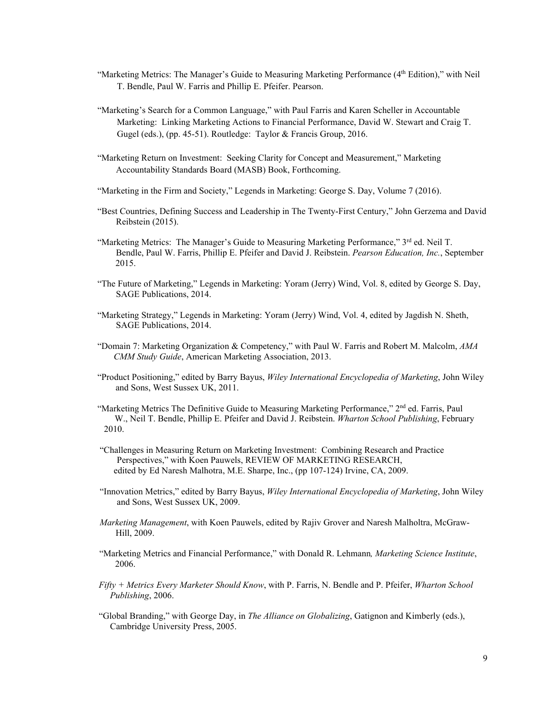- "Marketing Metrics: The Manager's Guide to Measuring Marketing Performance (4<sup>th</sup> Edition)," with Neil T. Bendle, Paul W. Farris and Phillip E. Pfeifer. Pearson.
- "Marketing's Search for a Common Language," with Paul Farris and Karen Scheller in Accountable Marketing: Linking Marketing Actions to Financial Performance, David W. Stewart and Craig T. Gugel (eds.), (pp. 45-51). Routledge: Taylor & Francis Group, 2016.
- "Marketing Return on Investment: Seeking Clarity for Concept and Measurement," Marketing Accountability Standards Board (MASB) Book, Forthcoming.
- "Marketing in the Firm and Society," Legends in Marketing: George S. Day, Volume 7 (2016).
- "Best Countries, Defining Success and Leadership in The Twenty-First Century," John Gerzema and David Reibstein (2015).
- "Marketing Metrics: The Manager's Guide to Measuring Marketing Performance," 3<sup>rd</sup> ed. Neil T. Bendle, Paul W. Farris, Phillip E. Pfeifer and David J. Reibstein. *Pearson Education, Inc.*, September 2015.
- "The Future of Marketing," Legends in Marketing: Yoram (Jerry) Wind, Vol. 8, edited by George S. Day, SAGE Publications, 2014.
- "Marketing Strategy," Legends in Marketing: Yoram (Jerry) Wind, Vol. 4, edited by Jagdish N. Sheth, SAGE Publications, 2014.
- "Domain 7: Marketing Organization & Competency," with Paul W. Farris and Robert M. Malcolm, *AMA CMM Study Guide*, American Marketing Association, 2013.
- "Product Positioning," edited by Barry Bayus, *Wiley International Encyclopedia of Marketing*, John Wiley and Sons, West Sussex UK, 2011.
- "Marketing Metrics The Definitive Guide to Measuring Marketing Performance," 2nd ed. Farris, Paul W., Neil T. Bendle, Phillip E. Pfeifer and David J. Reibstein. *Wharton School Publishing*, February 2010.
- "Challenges in Measuring Return on Marketing Investment: Combining Research and Practice Perspectives," with Koen Pauwels, REVIEW OF MARKETING RESEARCH, edited by Ed Naresh Malhotra, M.E. Sharpe, Inc., (pp 107-124) Irvine, CA, 2009.
- "Innovation Metrics," edited by Barry Bayus, *Wiley International Encyclopedia of Marketing*, John Wiley and Sons, West Sussex UK, 2009.
- *Marketing Management*, with Koen Pauwels, edited by Rajiv Grover and Naresh Malholtra, McGraw- Hill, 2009.
- "Marketing Metrics and Financial Performance," with Donald R. Lehmann*, Marketing Science Institute*, 2006.
- *Fifty + Metrics Every Marketer Should Know*, with P. Farris, N. Bendle and P. Pfeifer, *Wharton School Publishing*, 2006.
- "Global Branding," with George Day, in *The Alliance on Globalizing*, Gatignon and Kimberly (eds.), Cambridge University Press, 2005.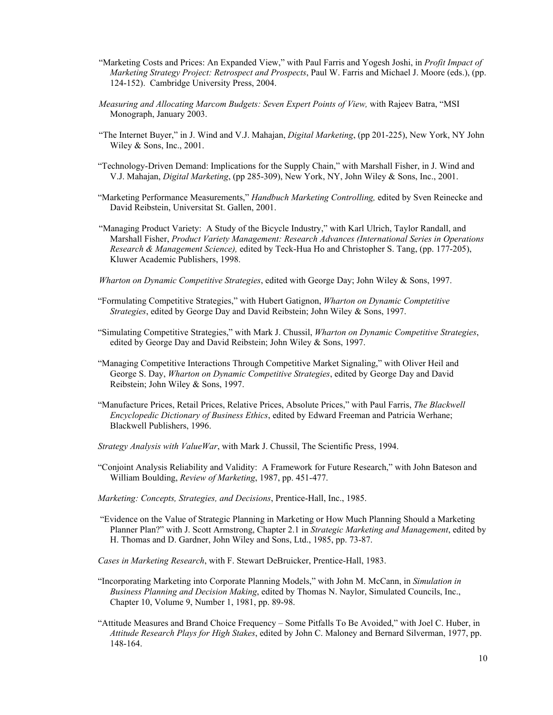- "Marketing Costs and Prices: An Expanded View," with Paul Farris and Yogesh Joshi, in *Profit Impact of Marketing Strategy Project: Retrospect and Prospects*, Paul W. Farris and Michael J. Moore (eds.), (pp. 124-152). Cambridge University Press, 2004.
- *Measuring and Allocating Marcom Budgets: Seven Expert Points of View,* with Rajeev Batra, "MSI Monograph, January 2003.
- "The Internet Buyer," in J. Wind and V.J. Mahajan, *Digital Marketing*, (pp 201-225), New York, NY John Wiley & Sons, Inc., 2001.
- "Technology-Driven Demand: Implications for the Supply Chain," with Marshall Fisher, in J. Wind and V.J. Mahajan, *Digital Marketing*, (pp 285-309), New York, NY, John Wiley & Sons, Inc., 2001.
- "Marketing Performance Measurements," *Handbuch Marketing Controlling,* edited by Sven Reinecke and David Reibstein, Universitat St. Gallen, 2001.
- "Managing Product Variety: A Study of the Bicycle Industry," with Karl Ulrich, Taylor Randall, and Marshall Fisher, *Product Variety Management: Research Advances (International Series in Operations Research & Management Science),* edited by Teck-Hua Ho and Christopher S. Tang, (pp. 177-205), Kluwer Academic Publishers, 1998.
- *Wharton on Dynamic Competitive Strategies*, edited with George Day; John Wiley & Sons, 1997.
- "Formulating Competitive Strategies," with Hubert Gatignon, *Wharton on Dynamic Comptetitive Strategies*, edited by George Day and David Reibstein; John Wiley & Sons, 1997.
- "Simulating Competitive Strategies," with Mark J. Chussil, *Wharton on Dynamic Competitive Strategies*, edited by George Day and David Reibstein; John Wiley & Sons, 1997.
- "Managing Competitive Interactions Through Competitive Market Signaling," with Oliver Heil and George S. Day, *Wharton on Dynamic Competitive Strategies*, edited by George Day and David Reibstein; John Wiley & Sons, 1997.
- "Manufacture Prices, Retail Prices, Relative Prices, Absolute Prices," with Paul Farris, *The Blackwell Encyclopedic Dictionary of Business Ethics*, edited by Edward Freeman and Patricia Werhane; Blackwell Publishers, 1996.
- *Strategy Analysis with ValueWar*, with Mark J. Chussil, The Scientific Press, 1994.
- "Conjoint Analysis Reliability and Validity: A Framework for Future Research," with John Bateson and William Boulding, *Review of Marketing*, 1987, pp. 451-477.
- *Marketing: Concepts, Strategies, and Decisions*, Prentice-Hall, Inc., 1985.
- "Evidence on the Value of Strategic Planning in Marketing or How Much Planning Should a Marketing Planner Plan?" with J. Scott Armstrong, Chapter 2.1 in *Strategic Marketing and Management*, edited by H. Thomas and D. Gardner, John Wiley and Sons, Ltd., 1985, pp. 73-87.
- *Cases in Marketing Research*, with F. Stewart DeBruicker, Prentice-Hall, 1983.
- "Incorporating Marketing into Corporate Planning Models," with John M. McCann, in *Simulation in Business Planning and Decision Making*, edited by Thomas N. Naylor, Simulated Councils, Inc., Chapter 10, Volume 9, Number 1, 1981, pp. 89-98.
- "Attitude Measures and Brand Choice Frequency Some Pitfalls To Be Avoided," with Joel C. Huber, in *Attitude Research Plays for High Stakes*, edited by John C. Maloney and Bernard Silverman, 1977, pp. 148-164.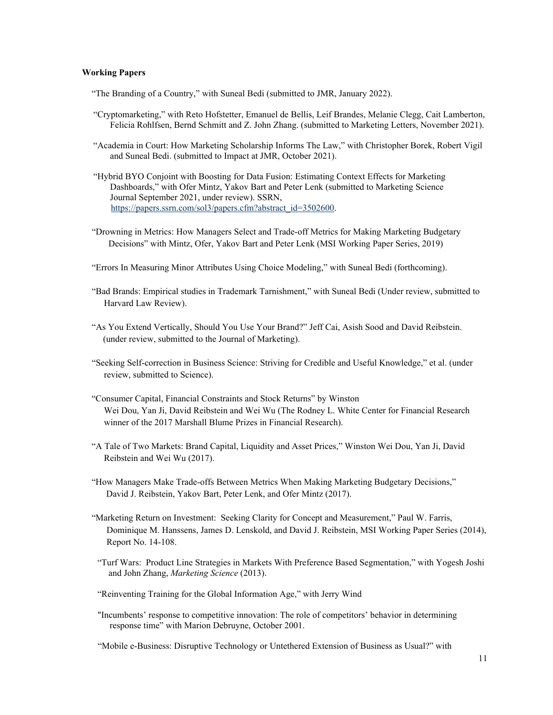## **Working Papers**

"The Branding of a Country," with Suneal Bedi (submitted to JMR, January 2022).

- "Cryptomarketing," with Reto Hofstetter, Emanuel de Bellis, Leif Brandes, Melanie Clegg, Cait Lamberton, Felicia Rohlfsen, Bernd Schmitt and Z. John Zhang. (submitted to Marketing Letters, November 2021).
- "Academia in Court: How Marketing Scholarship Informs The Law," with Christopher Borek, Robert Vigil and Suneal Bedi. (submitted to Impact at JMR, October 2021).
- "Hybrid BYO Conjoint with Boosting for Data Fusion: Estimating Context Effects for Marketing Dashboards," with Ofer Mintz, Yakov Bart and Peter Lenk (submitted to Marketing Science Journal September 2021, under review). SSRN, https://papers.ssrn.com/sol3/papers.cfm?abstract\_id=3502600.
- "Drowning in Metrics: How Managers Select and Trade-off Metrics for Making Marketing Budgetary Decisions" with Mintz, Ofer, Yakov Bart and Peter Lenk (MSI Working Paper Series, 2019)
- "Errors In Measuring Minor Attributes Using Choice Modeling," with Suneal Bedi (forthcoming).
- "Bad Brands: Empirical studies in Trademark Tarnishment," with Suneal Bedi (Under review, submitted to Harvard Law Review).
- "As You Extend Vertically, Should You Use Your Brand?" Jeff Cai, Asish Sood and David Reibstein. (under review, submitted to the Journal of Marketing).
- "Seeking Self-correction in Business Science: Striving for Credible and Useful Knowledge," et al. (under review, submitted to Science).
- "Consumer Capital, Financial Constraints and Stock Returns" by Winston Wei Dou, Yan Ji, David Reibstein and Wei Wu (The Rodney L. White Center for Financial Research winner of the 2017 Marshall Blume Prizes in Financial Research).
- "A Tale of Two Markets: Brand Capital, Liquidity and Asset Prices," Winston Wei Dou, Yan Ji, David Reibstein and Wei Wu (2017).
- "How Managers Make Trade-offs Between Metrics When Making Marketing Budgetary Decisions," David J. Reibstein, Yakov Bart, Peter Lenk, and Ofer Mintz (2017).
- "Marketing Return on Investment: Seeking Clarity for Concept and Measurement," Paul W. Farris, Dominique M. Hanssens, James D. Lenskold, and David J. Reibstein, MSI Working Paper Series (2014), Report No. 14-108.
- "Turf Wars: Product Line Strategies in Markets With Preference Based Segmentation," with Yogesh Joshi and John Zhang, *Marketing Science* (2013).
- "Reinventing Training for the Global Information Age," with Jerry Wind
- "Incumbents' response to competitive innovation: The role of competitors' behavior in determining response time" with Marion Debruyne, October 2001.

"Mobile e-Business: Disruptive Technology or Untethered Extension of Business as Usual?" with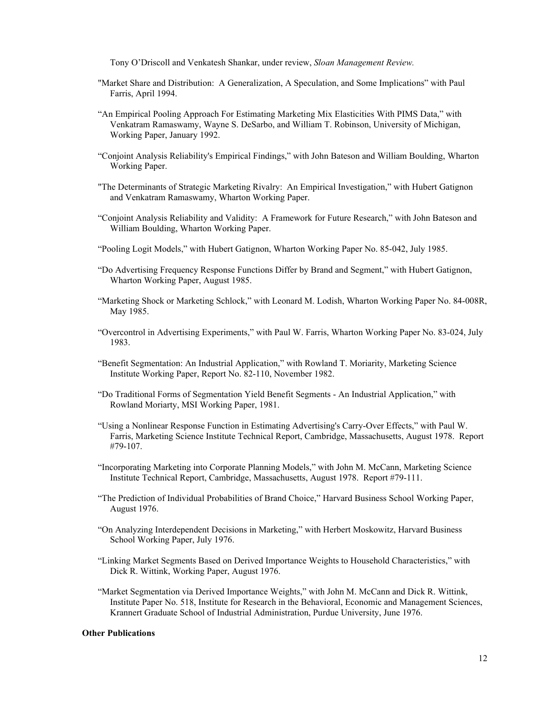Tony O'Driscoll and Venkatesh Shankar, under review, *Sloan Management Review.* 

- "Market Share and Distribution: A Generalization, A Speculation, and Some Implications" with Paul Farris, April 1994.
- "An Empirical Pooling Approach For Estimating Marketing Mix Elasticities With PIMS Data," with Venkatram Ramaswamy, Wayne S. DeSarbo, and William T. Robinson, University of Michigan, Working Paper, January 1992.
- "Conjoint Analysis Reliability's Empirical Findings," with John Bateson and William Boulding, Wharton Working Paper.
- "The Determinants of Strategic Marketing Rivalry: An Empirical Investigation," with Hubert Gatignon and Venkatram Ramaswamy, Wharton Working Paper.
- "Conjoint Analysis Reliability and Validity: A Framework for Future Research," with John Bateson and William Boulding, Wharton Working Paper.
- "Pooling Logit Models," with Hubert Gatignon, Wharton Working Paper No. 85-042, July 1985.
- "Do Advertising Frequency Response Functions Differ by Brand and Segment," with Hubert Gatignon, Wharton Working Paper, August 1985.
- "Marketing Shock or Marketing Schlock," with Leonard M. Lodish, Wharton Working Paper No. 84-008R, May 1985.
- "Overcontrol in Advertising Experiments," with Paul W. Farris, Wharton Working Paper No. 83-024, July 1983.
- "Benefit Segmentation: An Industrial Application," with Rowland T. Moriarity, Marketing Science Institute Working Paper, Report No. 82-110, November 1982.
- "Do Traditional Forms of Segmentation Yield Benefit Segments An Industrial Application," with Rowland Moriarty, MSI Working Paper, 1981.
- "Using a Nonlinear Response Function in Estimating Advertising's Carry-Over Effects," with Paul W. Farris, Marketing Science Institute Technical Report, Cambridge, Massachusetts, August 1978. Report #79-107.
- "Incorporating Marketing into Corporate Planning Models," with John M. McCann, Marketing Science Institute Technical Report, Cambridge, Massachusetts, August 1978. Report #79-111.
- "The Prediction of Individual Probabilities of Brand Choice," Harvard Business School Working Paper, August 1976.
- "On Analyzing Interdependent Decisions in Marketing," with Herbert Moskowitz, Harvard Business School Working Paper, July 1976.
- "Linking Market Segments Based on Derived Importance Weights to Household Characteristics," with Dick R. Wittink, Working Paper, August 1976.
- "Market Segmentation via Derived Importance Weights," with John M. McCann and Dick R. Wittink, Institute Paper No. 518, Institute for Research in the Behavioral, Economic and Management Sciences, Krannert Graduate School of Industrial Administration, Purdue University, June 1976.

### **Other Publications**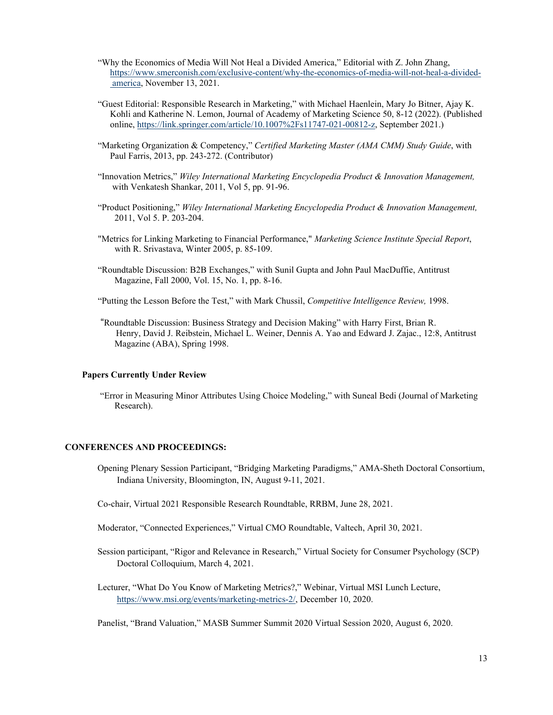- "Why the Economics of Media Will Not Heal a Divided America," Editorial with Z. John Zhang, https://www.smerconish.com/exclusive-content/why-the-economics-of-media-will-not-heal-a-divided america, November 13, 2021.
- "Guest Editorial: Responsible Research in Marketing," with Michael Haenlein, Mary Jo Bitner, Ajay K. Kohli and Katherine N. Lemon, Journal of Academy of Marketing Science 50, 8-12 (2022). (Published online, https://link.springer.com/article/10.1007%2Fs11747-021-00812-z, September 2021.)
- "Marketing Organization & Competency," *Certified Marketing Master (AMA CMM) Study Guide*, with Paul Farris, 2013, pp. 243-272. (Contributor)
- "Innovation Metrics," *Wiley International Marketing Encyclopedia Product & Innovation Management,* with Venkatesh Shankar, 2011, Vol 5, pp. 91-96.
- "Product Positioning," *Wiley International Marketing Encyclopedia Product & Innovation Management,* 2011, Vol 5. P. 203-204.
- "Metrics for Linking Marketing to Financial Performance," *Marketing Science Institute Special Report*, with R. Srivastava, Winter 2005, p. 85-109.
- "Roundtable Discussion: B2B Exchanges," with Sunil Gupta and John Paul MacDuffie, Antitrust Magazine, Fall 2000, Vol. 15, No. 1, pp. 8-16.
- "Putting the Lesson Before the Test," with Mark Chussil, *Competitive Intelligence Review,* 1998.
- "Roundtable Discussion: Business Strategy and Decision Making" with Harry First, Brian R. Henry, David J. Reibstein, Michael L. Weiner, Dennis A. Yao and Edward J. Zajac., 12:8, Antitrust Magazine (ABA), Spring 1998.

### **Papers Currently Under Review**

 "Error in Measuring Minor Attributes Using Choice Modeling," with Suneal Bedi (Journal of Marketing Research).

## **CONFERENCES AND PROCEEDINGS:**

- Opening Plenary Session Participant, "Bridging Marketing Paradigms," AMA-Sheth Doctoral Consortium, Indiana University, Bloomington, IN, August 9-11, 2021.
- Co-chair, Virtual 2021 Responsible Research Roundtable, RRBM, June 28, 2021.
- Moderator, "Connected Experiences," Virtual CMO Roundtable, Valtech, April 30, 2021.
- Session participant, "Rigor and Relevance in Research," Virtual Society for Consumer Psychology (SCP) Doctoral Colloquium, March 4, 2021.
- Lecturer, "What Do You Know of Marketing Metrics?," Webinar, Virtual MSI Lunch Lecture, https://www.msi.org/events/marketing-metrics-2/, December 10, 2020.

Panelist, "Brand Valuation," MASB Summer Summit 2020 Virtual Session 2020, August 6, 2020.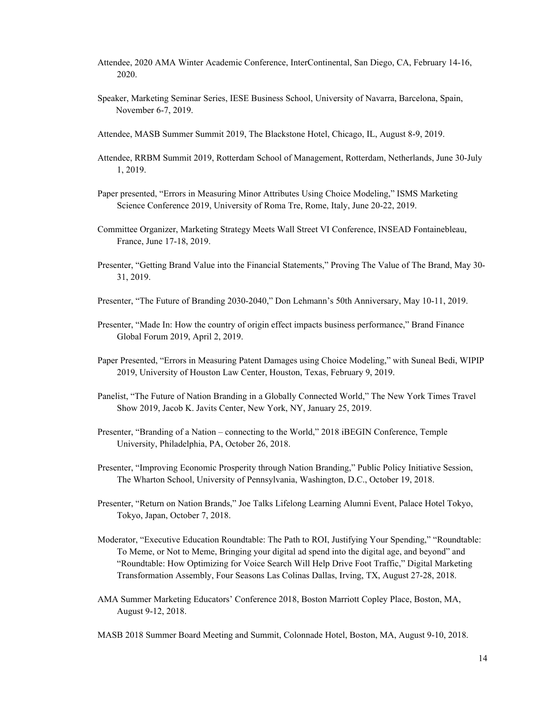- Attendee, 2020 AMA Winter Academic Conference, InterContinental, San Diego, CA, February 14-16, 2020.
- Speaker, Marketing Seminar Series, IESE Business School, University of Navarra, Barcelona, Spain, November 6-7, 2019.
- Attendee, MASB Summer Summit 2019, The Blackstone Hotel, Chicago, IL, August 8-9, 2019.
- Attendee, RRBM Summit 2019, Rotterdam School of Management, Rotterdam, Netherlands, June 30-July 1, 2019.
- Paper presented, "Errors in Measuring Minor Attributes Using Choice Modeling," ISMS Marketing Science Conference 2019, University of Roma Tre, Rome, Italy, June 20-22, 2019.
- Committee Organizer, Marketing Strategy Meets Wall Street VI Conference, INSEAD Fontainebleau, France, June 17-18, 2019.
- Presenter, "Getting Brand Value into the Financial Statements," Proving The Value of The Brand, May 30- 31, 2019.
- Presenter, "The Future of Branding 2030-2040," Don Lehmann's 50th Anniversary, May 10-11, 2019.
- Presenter, "Made In: How the country of origin effect impacts business performance," Brand Finance Global Forum 2019, April 2, 2019.
- Paper Presented, "Errors in Measuring Patent Damages using Choice Modeling," with Suneal Bedi, WIPIP 2019, University of Houston Law Center, Houston, Texas, February 9, 2019.
- Panelist, "The Future of Nation Branding in a Globally Connected World," The New York Times Travel Show 2019, Jacob K. Javits Center, New York, NY, January 25, 2019.
- Presenter, "Branding of a Nation connecting to the World," 2018 iBEGIN Conference, Temple University, Philadelphia, PA, October 26, 2018.
- Presenter, "Improving Economic Prosperity through Nation Branding," Public Policy Initiative Session, The Wharton School, University of Pennsylvania, Washington, D.C., October 19, 2018.
- Presenter, "Return on Nation Brands," Joe Talks Lifelong Learning Alumni Event, Palace Hotel Tokyo, Tokyo, Japan, October 7, 2018.
- Moderator, "Executive Education Roundtable: The Path to ROI, Justifying Your Spending," "Roundtable: To Meme, or Not to Meme, Bringing your digital ad spend into the digital age, and beyond" and "Roundtable: How Optimizing for Voice Search Will Help Drive Foot Traffic," Digital Marketing Transformation Assembly, Four Seasons Las Colinas Dallas, Irving, TX, August 27-28, 2018.
- AMA Summer Marketing Educators' Conference 2018, Boston Marriott Copley Place, Boston, MA, August 9-12, 2018.
- MASB 2018 Summer Board Meeting and Summit, Colonnade Hotel, Boston, MA, August 9-10, 2018.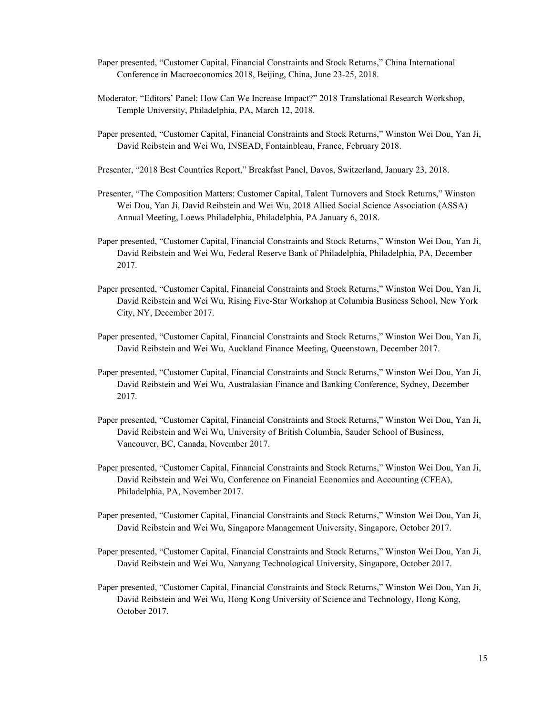- Paper presented, "Customer Capital, Financial Constraints and Stock Returns," China International Conference in Macroeconomics 2018, Beijing, China, June 23-25, 2018.
- Moderator, "Editors' Panel: How Can We Increase Impact?" 2018 Translational Research Workshop, Temple University, Philadelphia, PA, March 12, 2018.
- Paper presented, "Customer Capital, Financial Constraints and Stock Returns," Winston Wei Dou, Yan Ji, David Reibstein and Wei Wu, INSEAD, Fontainbleau, France, February 2018.
- Presenter, "2018 Best Countries Report," Breakfast Panel, Davos, Switzerland, January 23, 2018.
- Presenter, "The Composition Matters: Customer Capital, Talent Turnovers and Stock Returns," Winston Wei Dou, Yan Ji, David Reibstein and Wei Wu, 2018 Allied Social Science Association (ASSA) Annual Meeting, Loews Philadelphia, Philadelphia, PA January 6, 2018.
- Paper presented, "Customer Capital, Financial Constraints and Stock Returns," Winston Wei Dou, Yan Ji, David Reibstein and Wei Wu, Federal Reserve Bank of Philadelphia, Philadelphia, PA, December 2017.
- Paper presented, "Customer Capital, Financial Constraints and Stock Returns," Winston Wei Dou, Yan Ji, David Reibstein and Wei Wu, Rising Five-Star Workshop at Columbia Business School, New York City, NY, December 2017.
- Paper presented, "Customer Capital, Financial Constraints and Stock Returns," Winston Wei Dou, Yan Ji, David Reibstein and Wei Wu, Auckland Finance Meeting, Queenstown, December 2017.
- Paper presented, "Customer Capital, Financial Constraints and Stock Returns," Winston Wei Dou, Yan Ji, David Reibstein and Wei Wu, Australasian Finance and Banking Conference, Sydney, December 2017.
- Paper presented, "Customer Capital, Financial Constraints and Stock Returns," Winston Wei Dou, Yan Ji, David Reibstein and Wei Wu, University of British Columbia, Sauder School of Business, Vancouver, BC, Canada, November 2017.
- Paper presented, "Customer Capital, Financial Constraints and Stock Returns," Winston Wei Dou, Yan Ji, David Reibstein and Wei Wu, Conference on Financial Economics and Accounting (CFEA), Philadelphia, PA, November 2017.
- Paper presented, "Customer Capital, Financial Constraints and Stock Returns," Winston Wei Dou, Yan Ji, David Reibstein and Wei Wu, Singapore Management University, Singapore, October 2017.
- Paper presented, "Customer Capital, Financial Constraints and Stock Returns," Winston Wei Dou, Yan Ji, David Reibstein and Wei Wu, Nanyang Technological University, Singapore, October 2017.
- Paper presented, "Customer Capital, Financial Constraints and Stock Returns," Winston Wei Dou, Yan Ji, David Reibstein and Wei Wu, Hong Kong University of Science and Technology, Hong Kong, October 2017.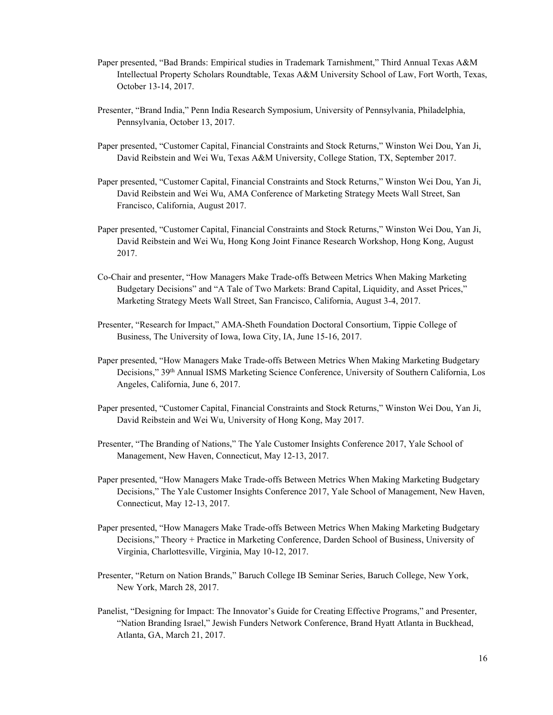- Paper presented, "Bad Brands: Empirical studies in Trademark Tarnishment," Third Annual Texas A&M Intellectual Property Scholars Roundtable, Texas A&M University School of Law, Fort Worth, Texas, October 13-14, 2017.
- Presenter, "Brand India," Penn India Research Symposium, University of Pennsylvania, Philadelphia, Pennsylvania, October 13, 2017.
- Paper presented, "Customer Capital, Financial Constraints and Stock Returns," Winston Wei Dou, Yan Ji, David Reibstein and Wei Wu, Texas A&M University, College Station, TX, September 2017.
- Paper presented, "Customer Capital, Financial Constraints and Stock Returns," Winston Wei Dou, Yan Ji, David Reibstein and Wei Wu, AMA Conference of Marketing Strategy Meets Wall Street, San Francisco, California, August 2017.
- Paper presented, "Customer Capital, Financial Constraints and Stock Returns," Winston Wei Dou, Yan Ji, David Reibstein and Wei Wu, Hong Kong Joint Finance Research Workshop, Hong Kong, August 2017.
- Co-Chair and presenter, "How Managers Make Trade-offs Between Metrics When Making Marketing Budgetary Decisions" and "A Tale of Two Markets: Brand Capital, Liquidity, and Asset Prices," Marketing Strategy Meets Wall Street, San Francisco, California, August 3-4, 2017.
- Presenter, "Research for Impact," AMA-Sheth Foundation Doctoral Consortium, Tippie College of Business, The University of Iowa, Iowa City, IA, June 15-16, 2017.
- Paper presented, "How Managers Make Trade-offs Between Metrics When Making Marketing Budgetary Decisions," 39<sup>th</sup> Annual ISMS Marketing Science Conference, University of Southern California, Los Angeles, California, June 6, 2017.
- Paper presented, "Customer Capital, Financial Constraints and Stock Returns," Winston Wei Dou, Yan Ji, David Reibstein and Wei Wu, University of Hong Kong, May 2017.
- Presenter, "The Branding of Nations," The Yale Customer Insights Conference 2017, Yale School of Management, New Haven, Connecticut, May 12-13, 2017.
- Paper presented, "How Managers Make Trade-offs Between Metrics When Making Marketing Budgetary Decisions," The Yale Customer Insights Conference 2017, Yale School of Management, New Haven, Connecticut, May 12-13, 2017.
- Paper presented, "How Managers Make Trade-offs Between Metrics When Making Marketing Budgetary Decisions," Theory + Practice in Marketing Conference, Darden School of Business, University of Virginia, Charlottesville, Virginia, May 10-12, 2017.
- Presenter, "Return on Nation Brands," Baruch College IB Seminar Series, Baruch College, New York, New York, March 28, 2017.
- Panelist, "Designing for Impact: The Innovator's Guide for Creating Effective Programs," and Presenter, "Nation Branding Israel," Jewish Funders Network Conference, Brand Hyatt Atlanta in Buckhead, Atlanta, GA, March 21, 2017.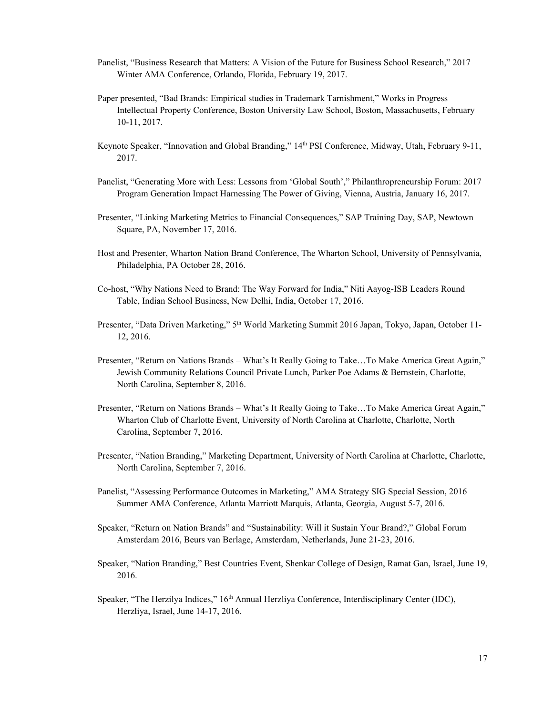- Panelist, "Business Research that Matters: A Vision of the Future for Business School Research," 2017 Winter AMA Conference, Orlando, Florida, February 19, 2017.
- Paper presented, "Bad Brands: Empirical studies in Trademark Tarnishment," Works in Progress Intellectual Property Conference, Boston University Law School, Boston, Massachusetts, February 10-11, 2017.
- Keynote Speaker, "Innovation and Global Branding," 14th PSI Conference, Midway, Utah, February 9-11, 2017.
- Panelist, "Generating More with Less: Lessons from 'Global South'," Philanthropreneurship Forum: 2017 Program Generation Impact Harnessing The Power of Giving, Vienna, Austria, January 16, 2017.
- Presenter, "Linking Marketing Metrics to Financial Consequences," SAP Training Day, SAP, Newtown Square, PA, November 17, 2016.
- Host and Presenter, Wharton Nation Brand Conference, The Wharton School, University of Pennsylvania, Philadelphia, PA October 28, 2016.
- Co-host, "Why Nations Need to Brand: The Way Forward for India," Niti Aayog-ISB Leaders Round Table, Indian School Business, New Delhi, India, October 17, 2016.
- Presenter, "Data Driven Marketing," 5th World Marketing Summit 2016 Japan, Tokyo, Japan, October 11- 12, 2016.
- Presenter, "Return on Nations Brands What's It Really Going to Take…To Make America Great Again," Jewish Community Relations Council Private Lunch, Parker Poe Adams & Bernstein, Charlotte, North Carolina, September 8, 2016.
- Presenter, "Return on Nations Brands What's It Really Going to Take…To Make America Great Again," Wharton Club of Charlotte Event, University of North Carolina at Charlotte, Charlotte, North Carolina, September 7, 2016.
- Presenter, "Nation Branding," Marketing Department, University of North Carolina at Charlotte, Charlotte, North Carolina, September 7, 2016.
- Panelist, "Assessing Performance Outcomes in Marketing," AMA Strategy SIG Special Session, 2016 Summer AMA Conference, Atlanta Marriott Marquis, Atlanta, Georgia, August 5-7, 2016.
- Speaker, "Return on Nation Brands" and "Sustainability: Will it Sustain Your Brand?," Global Forum Amsterdam 2016, Beurs van Berlage, Amsterdam, Netherlands, June 21-23, 2016.
- Speaker, "Nation Branding," Best Countries Event, Shenkar College of Design, Ramat Gan, Israel, June 19, 2016.
- Speaker, "The Herzilya Indices," 16<sup>th</sup> Annual Herzliya Conference, Interdisciplinary Center (IDC), Herzliya, Israel, June 14-17, 2016.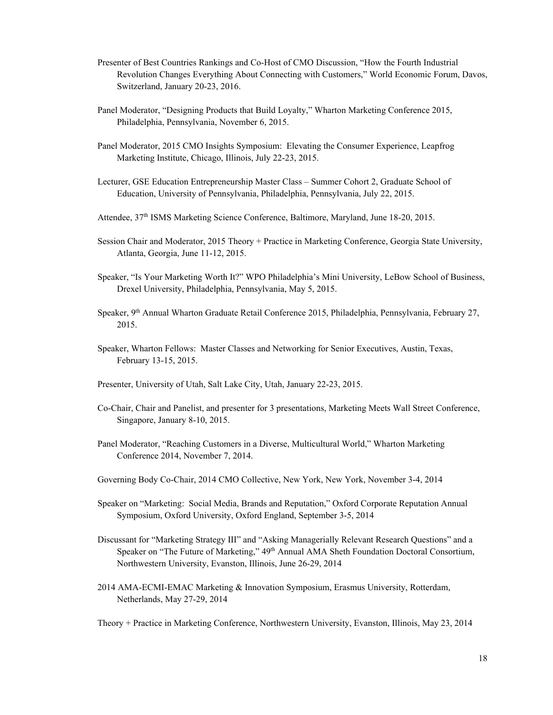- Presenter of Best Countries Rankings and Co-Host of CMO Discussion, "How the Fourth Industrial Revolution Changes Everything About Connecting with Customers," World Economic Forum, Davos, Switzerland, January 20-23, 2016.
- Panel Moderator, "Designing Products that Build Loyalty," Wharton Marketing Conference 2015, Philadelphia, Pennsylvania, November 6, 2015.
- Panel Moderator, 2015 CMO Insights Symposium: Elevating the Consumer Experience, Leapfrog Marketing Institute, Chicago, Illinois, July 22-23, 2015.
- Lecturer, GSE Education Entrepreneurship Master Class Summer Cohort 2, Graduate School of Education, University of Pennsylvania, Philadelphia, Pennsylvania, July 22, 2015.
- Attendee, 37<sup>th</sup> ISMS Marketing Science Conference, Baltimore, Maryland, June 18-20, 2015.
- Session Chair and Moderator, 2015 Theory + Practice in Marketing Conference, Georgia State University, Atlanta, Georgia, June 11-12, 2015.
- Speaker, "Is Your Marketing Worth It?" WPO Philadelphia's Mini University, LeBow School of Business, Drexel University, Philadelphia, Pennsylvania, May 5, 2015.
- Speaker, 9th Annual Wharton Graduate Retail Conference 2015, Philadelphia, Pennsylvania, February 27, 2015.
- Speaker, Wharton Fellows: Master Classes and Networking for Senior Executives, Austin, Texas, February 13-15, 2015.
- Presenter, University of Utah, Salt Lake City, Utah, January 22-23, 2015.
- Co-Chair, Chair and Panelist, and presenter for 3 presentations, Marketing Meets Wall Street Conference, Singapore, January 8-10, 2015.
- Panel Moderator, "Reaching Customers in a Diverse, Multicultural World," Wharton Marketing Conference 2014, November 7, 2014.
- Governing Body Co-Chair, 2014 CMO Collective, New York, New York, November 3-4, 2014
- Speaker on "Marketing: Social Media, Brands and Reputation," Oxford Corporate Reputation Annual Symposium, Oxford University, Oxford England, September 3-5, 2014
- Discussant for "Marketing Strategy III" and "Asking Managerially Relevant Research Questions" and a Speaker on "The Future of Marketing," 49<sup>th</sup> Annual AMA Sheth Foundation Doctoral Consortium, Northwestern University, Evanston, Illinois, June 26-29, 2014
- 2014 AMA-ECMI-EMAC Marketing & Innovation Symposium, Erasmus University, Rotterdam, Netherlands, May 27-29, 2014

Theory + Practice in Marketing Conference, Northwestern University, Evanston, Illinois, May 23, 2014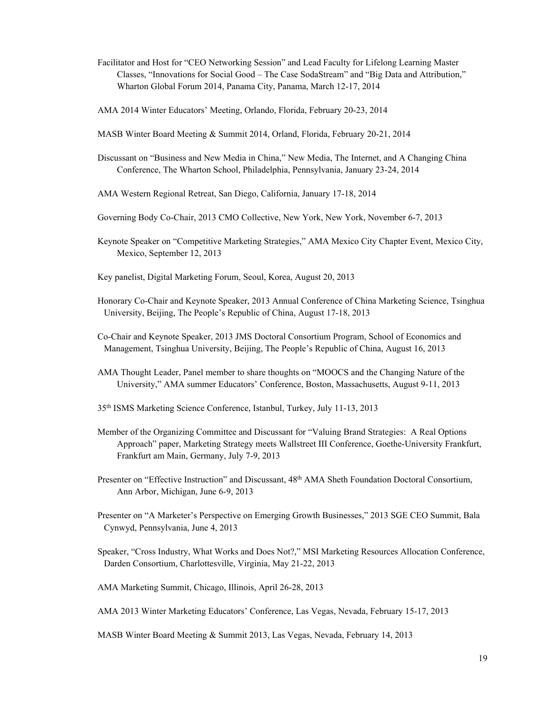- Facilitator and Host for "CEO Networking Session" and Lead Faculty for Lifelong Learning Master Classes, "Innovations for Social Good – The Case SodaStream" and "Big Data and Attribution," Wharton Global Forum 2014, Panama City, Panama, March 12-17, 2014
- AMA 2014 Winter Educators' Meeting, Orlando, Florida, February 20-23, 2014
- MASB Winter Board Meeting & Summit 2014, Orland, Florida, February 20-21, 2014
- Discussant on "Business and New Media in China," New Media, The Internet, and A Changing China Conference, The Wharton School, Philadelphia, Pennsylvania, January 23-24, 2014
- AMA Western Regional Retreat, San Diego, California, January 17-18, 2014
- Governing Body Co-Chair, 2013 CMO Collective, New York, New York, November 6-7, 2013
- Keynote Speaker on "Competitive Marketing Strategies," AMA Mexico City Chapter Event, Mexico City, Mexico, September 12, 2013
- Key panelist, Digital Marketing Forum, Seoul, Korea, August 20, 2013
- Honorary Co-Chair and Keynote Speaker, 2013 Annual Conference of China Marketing Science, Tsinghua University, Beijing, The People's Republic of China, August 17-18, 2013
- Co-Chair and Keynote Speaker, 2013 JMS Doctoral Consortium Program, School of Economics and Management, Tsinghua University, Beijing, The People's Republic of China, August 16, 2013
- AMA Thought Leader, Panel member to share thoughts on "MOOCS and the Changing Nature of the University," AMA summer Educators' Conference, Boston, Massachusetts, August 9-11, 2013
- 35th ISMS Marketing Science Conference, Istanbul, Turkey, July 11-13, 2013
- Member of the Organizing Committee and Discussant for "Valuing Brand Strategies: A Real Options Approach" paper, Marketing Strategy meets Wallstreet III Conference, Goethe-University Frankfurt, Frankfurt am Main, Germany, July 7-9, 2013
- Presenter on "Effective Instruction" and Discussant, 48<sup>th</sup> AMA Sheth Foundation Doctoral Consortium, Ann Arbor, Michigan, June 6-9, 2013
- Presenter on "A Marketer's Perspective on Emerging Growth Businesses," 2013 SGE CEO Summit, Bala Cynwyd, Pennsylvania, June 4, 2013
- Speaker, "Cross Industry, What Works and Does Not?," MSI Marketing Resources Allocation Conference, Darden Consortium, Charlottesville, Virginia, May 21-22, 2013
- AMA Marketing Summit, Chicago, Illinois, April 26-28, 2013
- AMA 2013 Winter Marketing Educators' Conference, Las Vegas, Nevada, February 15-17, 2013
- MASB Winter Board Meeting & Summit 2013, Las Vegas, Nevada, February 14, 2013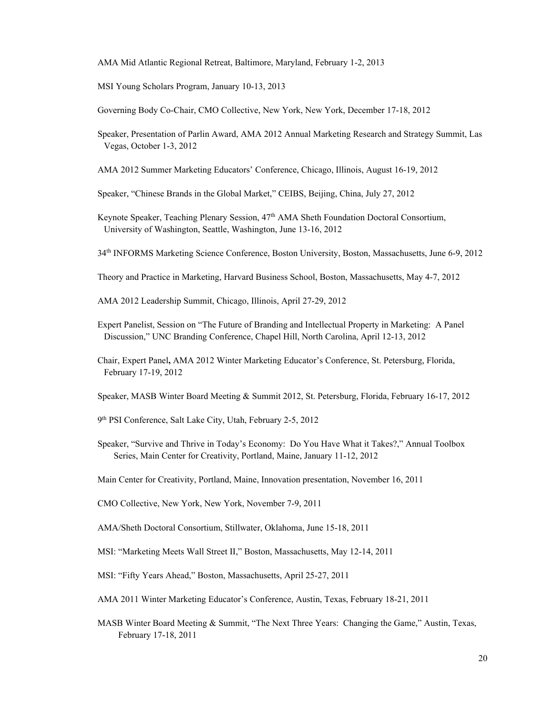AMA Mid Atlantic Regional Retreat, Baltimore, Maryland, February 1-2, 2013

MSI Young Scholars Program, January 10-13, 2013

Governing Body Co-Chair, CMO Collective, New York, New York, December 17-18, 2012

- Speaker, Presentation of Parlin Award, AMA 2012 Annual Marketing Research and Strategy Summit, Las Vegas, October 1-3, 2012
- AMA 2012 Summer Marketing Educators' Conference, Chicago, Illinois, August 16-19, 2012
- Speaker, "Chinese Brands in the Global Market," CEIBS, Beijing, China, July 27, 2012
- Keynote Speaker, Teaching Plenary Session, 47<sup>th</sup> AMA Sheth Foundation Doctoral Consortium, University of Washington, Seattle, Washington, June 13-16, 2012
- 34th INFORMS Marketing Science Conference, Boston University, Boston, Massachusetts, June 6-9, 2012
- Theory and Practice in Marketing, Harvard Business School, Boston, Massachusetts, May 4-7, 2012
- AMA 2012 Leadership Summit, Chicago, Illinois, April 27-29, 2012
- Expert Panelist, Session on "The Future of Branding and Intellectual Property in Marketing: A Panel Discussion," UNC Branding Conference, Chapel Hill, North Carolina, April 12-13, 2012
- Chair, Expert Panel**,** AMA 2012 Winter Marketing Educator's Conference, St. Petersburg, Florida, February 17-19, 2012
- Speaker, MASB Winter Board Meeting & Summit 2012, St. Petersburg, Florida, February 16-17, 2012
- 9th PSI Conference, Salt Lake City, Utah, February 2-5, 2012
- Speaker, "Survive and Thrive in Today's Economy: Do You Have What it Takes?," Annual Toolbox Series, Main Center for Creativity, Portland, Maine, January 11-12, 2012
- Main Center for Creativity, Portland, Maine, Innovation presentation, November 16, 2011
- CMO Collective, New York, New York, November 7-9, 2011
- AMA/Sheth Doctoral Consortium, Stillwater, Oklahoma, June 15-18, 2011
- MSI: "Marketing Meets Wall Street II," Boston, Massachusetts, May 12-14, 2011
- MSI: "Fifty Years Ahead," Boston, Massachusetts, April 25-27, 2011
- AMA 2011 Winter Marketing Educator's Conference, Austin, Texas, February 18-21, 2011
- MASB Winter Board Meeting & Summit, "The Next Three Years: Changing the Game," Austin, Texas, February 17-18, 2011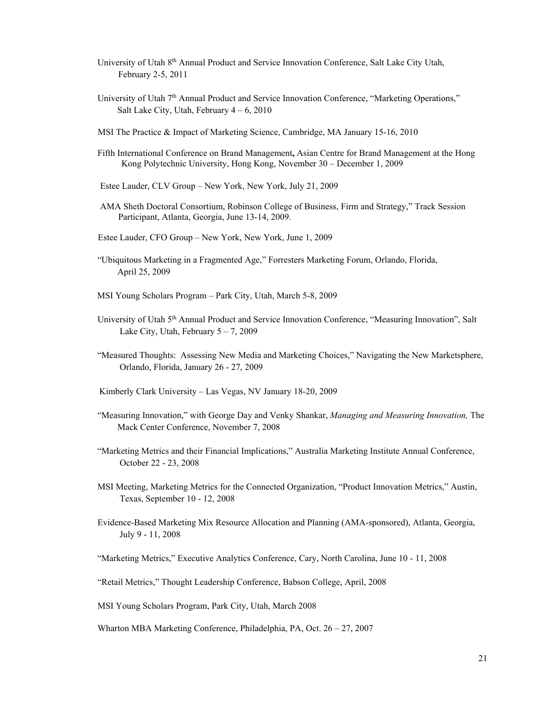- University of Utah 8th Annual Product and Service Innovation Conference, Salt Lake City Utah, February 2-5, 2011
- University of Utah 7th Annual Product and Service Innovation Conference, "Marketing Operations," Salt Lake City, Utah, February  $4 - 6$ , 2010
- MSI The Practice & Impact of Marketing Science, Cambridge, MA January 15-16, 2010
- Fifth International Conference on Brand Management**,** Asian Centre for Brand Management at the Hong Kong Polytechnic University, Hong Kong, November 30 – December 1, 2009
- Estee Lauder, CLV Group New York, New York, July 21, 2009
- AMA Sheth Doctoral Consortium, Robinson College of Business, Firm and Strategy," Track Session Participant, Atlanta, Georgia, June 13-14, 2009.
- Estee Lauder, CFO Group New York, New York, June 1, 2009
- "Ubiquitous Marketing in a Fragmented Age," Forresters Marketing Forum, Orlando, Florida, April 25, 2009
- MSI Young Scholars Program Park City, Utah, March 5-8, 2009
- University of Utah 5th Annual Product and Service Innovation Conference, "Measuring Innovation", Salt Lake City, Utah, February  $5 - 7$ , 2009
- "Measured Thoughts: Assessing New Media and Marketing Choices," Navigating the New Marketsphere, Orlando, Florida, January 26 - 27, 2009
- Kimberly Clark University Las Vegas, NV January 18-20, 2009
- "Measuring Innovation," with George Day and Venky Shankar, *Managing and Measuring Innovation,* The Mack Center Conference, November 7, 2008
- "Marketing Metrics and their Financial Implications," Australia Marketing Institute Annual Conference, October 22 - 23, 2008
- MSI Meeting, Marketing Metrics for the Connected Organization, "Product Innovation Metrics," Austin, Texas, September 10 - 12, 2008
- Evidence-Based Marketing Mix Resource Allocation and Planning (AMA-sponsored), Atlanta, Georgia, July 9 - 11, 2008

"Marketing Metrics," Executive Analytics Conference, Cary, North Carolina, June 10 - 11, 2008

- "Retail Metrics," Thought Leadership Conference, Babson College, April, 2008
- MSI Young Scholars Program, Park City, Utah, March 2008
- Wharton MBA Marketing Conference, Philadelphia, PA, Oct. 26 27, 2007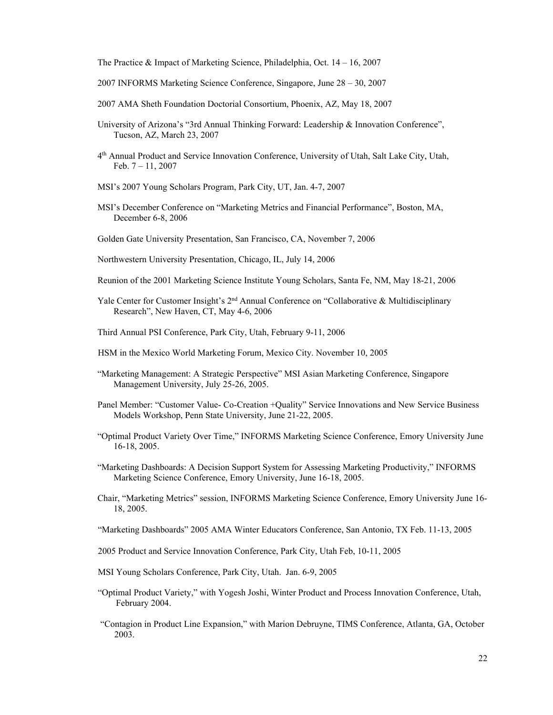The Practice & Impact of Marketing Science, Philadelphia, Oct. 14 – 16, 2007

- 2007 INFORMS Marketing Science Conference, Singapore, June 28 30, 2007
- 2007 AMA Sheth Foundation Doctorial Consortium, Phoenix, AZ, May 18, 2007
- University of Arizona's "3rd Annual Thinking Forward: Leadership & Innovation Conference", Tucson, AZ, March 23, 2007
- 4th Annual Product and Service Innovation Conference, University of Utah, Salt Lake City, Utah, Feb.  $7 - 11$ , 2007
- MSI's 2007 Young Scholars Program, Park City, UT, Jan. 4-7, 2007
- MSI's December Conference on "Marketing Metrics and Financial Performance", Boston, MA, December 6-8, 2006
- Golden Gate University Presentation, San Francisco, CA, November 7, 2006
- Northwestern University Presentation, Chicago, IL, July 14, 2006
- Reunion of the 2001 Marketing Science Institute Young Scholars, Santa Fe, NM, May 18-21, 2006
- Yale Center for Customer Insight's 2<sup>nd</sup> Annual Conference on "Collaborative & Multidisciplinary Research", New Haven, CT, May 4-6, 2006
- Third Annual PSI Conference, Park City, Utah, February 9-11, 2006
- HSM in the Mexico World Marketing Forum, Mexico City. November 10, 2005
- "Marketing Management: A Strategic Perspective" MSI Asian Marketing Conference, Singapore Management University, July 25-26, 2005.
- Panel Member: "Customer Value- Co-Creation +Quality" Service Innovations and New Service Business Models Workshop, Penn State University, June 21-22, 2005.
- "Optimal Product Variety Over Time," INFORMS Marketing Science Conference, Emory University June 16-18, 2005.
- "Marketing Dashboards: A Decision Support System for Assessing Marketing Productivity," INFORMS Marketing Science Conference, Emory University, June 16-18, 2005.
- Chair, "Marketing Metrics" session, INFORMS Marketing Science Conference, Emory University June 16- 18, 2005.
- "Marketing Dashboards" 2005 AMA Winter Educators Conference, San Antonio, TX Feb. 11-13, 2005
- 2005 Product and Service Innovation Conference, Park City, Utah Feb, 10-11, 2005
- MSI Young Scholars Conference, Park City, Utah. Jan. 6-9, 2005
- "Optimal Product Variety," with Yogesh Joshi, Winter Product and Process Innovation Conference, Utah, February 2004.
- "Contagion in Product Line Expansion," with Marion Debruyne, TIMS Conference, Atlanta, GA, October 2003.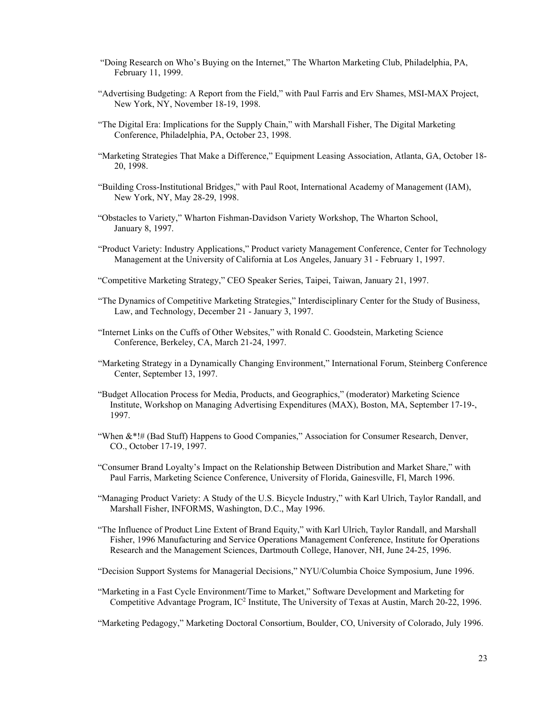- "Doing Research on Who's Buying on the Internet," The Wharton Marketing Club, Philadelphia, PA, February 11, 1999.
- "Advertising Budgeting: A Report from the Field," with Paul Farris and Erv Shames, MSI-MAX Project, New York, NY, November 18-19, 1998.
- "The Digital Era: Implications for the Supply Chain," with Marshall Fisher, The Digital Marketing Conference, Philadelphia, PA, October 23, 1998.
- "Marketing Strategies That Make a Difference," Equipment Leasing Association, Atlanta, GA, October 18- 20, 1998.
- "Building Cross-Institutional Bridges," with Paul Root, International Academy of Management (IAM), New York, NY, May 28-29, 1998.
- "Obstacles to Variety," Wharton Fishman-Davidson Variety Workshop, The Wharton School, January 8, 1997.
- "Product Variety: Industry Applications," Product variety Management Conference, Center for Technology Management at the University of California at Los Angeles, January 31 - February 1, 1997.
- "Competitive Marketing Strategy," CEO Speaker Series, Taipei, Taiwan, January 21, 1997.
- "The Dynamics of Competitive Marketing Strategies," Interdisciplinary Center for the Study of Business, Law, and Technology, December 21 - January 3, 1997.
- "Internet Links on the Cuffs of Other Websites," with Ronald C. Goodstein, Marketing Science Conference, Berkeley, CA, March 21-24, 1997.
- "Marketing Strategy in a Dynamically Changing Environment," International Forum, Steinberg Conference Center, September 13, 1997.
- "Budget Allocation Process for Media, Products, and Geographics," (moderator) Marketing Science Institute, Workshop on Managing Advertising Expenditures (MAX), Boston, MA, September 17-19-, 1997.
- "When &\*!# (Bad Stuff) Happens to Good Companies," Association for Consumer Research, Denver, CO., October 17-19, 1997.
- "Consumer Brand Loyalty's Impact on the Relationship Between Distribution and Market Share," with Paul Farris, Marketing Science Conference, University of Florida, Gainesville, Fl, March 1996.
- "Managing Product Variety: A Study of the U.S. Bicycle Industry," with Karl Ulrich, Taylor Randall, and Marshall Fisher, INFORMS, Washington, D.C., May 1996.
- "The Influence of Product Line Extent of Brand Equity," with Karl Ulrich, Taylor Randall, and Marshall Fisher, 1996 Manufacturing and Service Operations Management Conference, Institute for Operations Research and the Management Sciences, Dartmouth College, Hanover, NH, June 24-25, 1996.
- "Decision Support Systems for Managerial Decisions," NYU/Columbia Choice Symposium, June 1996.
- "Marketing in a Fast Cycle Environment/Time to Market," Software Development and Marketing for Competitive Advantage Program, IC<sup>2</sup> Institute, The University of Texas at Austin, March 20-22, 1996.

"Marketing Pedagogy," Marketing Doctoral Consortium, Boulder, CO, University of Colorado, July 1996.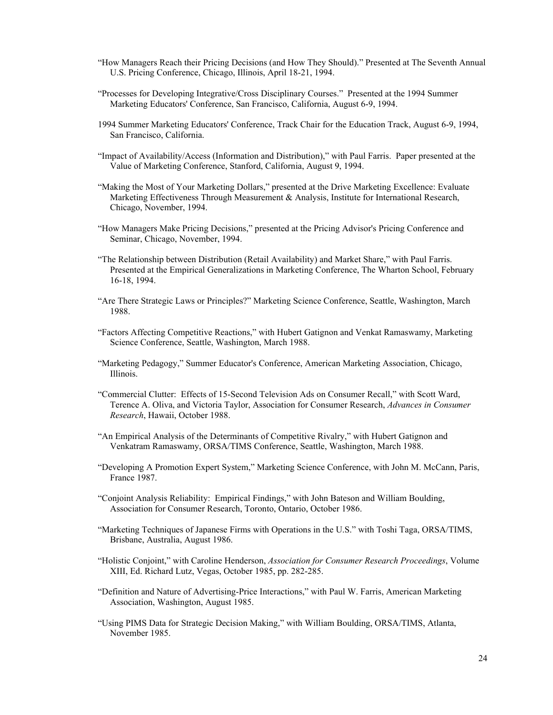- "How Managers Reach their Pricing Decisions (and How They Should)." Presented at The Seventh Annual U.S. Pricing Conference, Chicago, Illinois, April 18-21, 1994.
- "Processes for Developing Integrative/Cross Disciplinary Courses." Presented at the 1994 Summer Marketing Educators' Conference, San Francisco, California, August 6-9, 1994.
- 1994 Summer Marketing Educators' Conference, Track Chair for the Education Track, August 6-9, 1994, San Francisco, California.
- "Impact of Availability/Access (Information and Distribution)," with Paul Farris. Paper presented at the Value of Marketing Conference, Stanford, California, August 9, 1994.
- "Making the Most of Your Marketing Dollars," presented at the Drive Marketing Excellence: Evaluate Marketing Effectiveness Through Measurement & Analysis, Institute for International Research, Chicago, November, 1994.
- "How Managers Make Pricing Decisions," presented at the Pricing Advisor's Pricing Conference and Seminar, Chicago, November, 1994.
- "The Relationship between Distribution (Retail Availability) and Market Share," with Paul Farris. Presented at the Empirical Generalizations in Marketing Conference, The Wharton School, February 16-18, 1994.
- "Are There Strategic Laws or Principles?" Marketing Science Conference, Seattle, Washington, March 1988.
- "Factors Affecting Competitive Reactions," with Hubert Gatignon and Venkat Ramaswamy, Marketing Science Conference, Seattle, Washington, March 1988.
- "Marketing Pedagogy," Summer Educator's Conference, American Marketing Association, Chicago, Illinois.
- "Commercial Clutter: Effects of 15-Second Television Ads on Consumer Recall," with Scott Ward, Terence A. Oliva, and Victoria Taylor, Association for Consumer Research, *Advances in Consumer Research*, Hawaii, October 1988.
- "An Empirical Analysis of the Determinants of Competitive Rivalry," with Hubert Gatignon and Venkatram Ramaswamy, ORSA/TIMS Conference, Seattle, Washington, March 1988.
- "Developing A Promotion Expert System," Marketing Science Conference, with John M. McCann, Paris, France 1987.
- "Conjoint Analysis Reliability: Empirical Findings," with John Bateson and William Boulding, Association for Consumer Research, Toronto, Ontario, October 1986.
- "Marketing Techniques of Japanese Firms with Operations in the U.S." with Toshi Taga, ORSA/TIMS, Brisbane, Australia, August 1986.
- "Holistic Conjoint," with Caroline Henderson, *Association for Consumer Research Proceedings*, Volume XIII, Ed. Richard Lutz, Vegas, October 1985, pp. 282-285.
- "Definition and Nature of Advertising-Price Interactions," with Paul W. Farris, American Marketing Association, Washington, August 1985.
- "Using PIMS Data for Strategic Decision Making," with William Boulding, ORSA/TIMS, Atlanta, November 1985.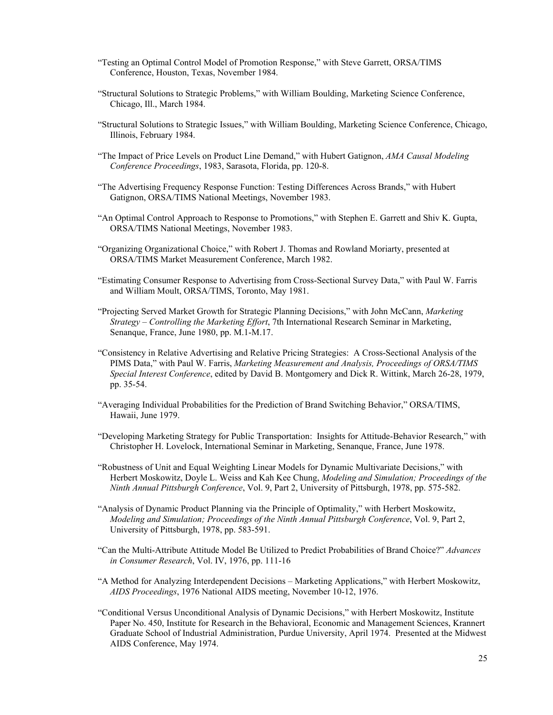- "Testing an Optimal Control Model of Promotion Response," with Steve Garrett, ORSA/TIMS Conference, Houston, Texas, November 1984.
- "Structural Solutions to Strategic Problems," with William Boulding, Marketing Science Conference, Chicago, Ill., March 1984.
- "Structural Solutions to Strategic Issues," with William Boulding, Marketing Science Conference, Chicago, Illinois, February 1984.
- "The Impact of Price Levels on Product Line Demand," with Hubert Gatignon, *AMA Causal Modeling Conference Proceedings*, 1983, Sarasota, Florida, pp. 120-8.
- "The Advertising Frequency Response Function: Testing Differences Across Brands," with Hubert Gatignon, ORSA/TIMS National Meetings, November 1983.
- "An Optimal Control Approach to Response to Promotions," with Stephen E. Garrett and Shiv K. Gupta, ORSA/TIMS National Meetings, November 1983.
- "Organizing Organizational Choice," with Robert J. Thomas and Rowland Moriarty, presented at ORSA/TIMS Market Measurement Conference, March 1982.
- "Estimating Consumer Response to Advertising from Cross-Sectional Survey Data," with Paul W. Farris and William Moult, ORSA/TIMS, Toronto, May 1981.
- "Projecting Served Market Growth for Strategic Planning Decisions," with John McCann, *Marketing Strategy – Controlling the Marketing Effort*, 7th International Research Seminar in Marketing, Senanque, France, June 1980, pp. M.1-M.17.
- "Consistency in Relative Advertising and Relative Pricing Strategies: A Cross-Sectional Analysis of the PIMS Data," with Paul W. Farris, *Marketing Measurement and Analysis, Proceedings of ORSA/TIMS Special Interest Conference*, edited by David B. Montgomery and Dick R. Wittink, March 26-28, 1979, pp. 35-54.
- "Averaging Individual Probabilities for the Prediction of Brand Switching Behavior," ORSA/TIMS, Hawaii, June 1979.
- "Developing Marketing Strategy for Public Transportation: Insights for Attitude-Behavior Research," with Christopher H. Lovelock, International Seminar in Marketing, Senanque, France, June 1978.
- "Robustness of Unit and Equal Weighting Linear Models for Dynamic Multivariate Decisions," with Herbert Moskowitz, Doyle L. Weiss and Kah Kee Chung, *Modeling and Simulation; Proceedings of the Ninth Annual Pittsburgh Conference*, Vol. 9, Part 2, University of Pittsburgh, 1978, pp. 575-582.
- "Analysis of Dynamic Product Planning via the Principle of Optimality," with Herbert Moskowitz, *Modeling and Simulation; Proceedings of the Ninth Annual Pittsburgh Conference*, Vol. 9, Part 2, University of Pittsburgh, 1978, pp. 583-591.
- "Can the Multi-Attribute Attitude Model Be Utilized to Predict Probabilities of Brand Choice?" *Advances in Consumer Research*, Vol. IV, 1976, pp. 111-16
- "A Method for Analyzing Interdependent Decisions Marketing Applications," with Herbert Moskowitz, *AIDS Proceedings*, 1976 National AIDS meeting, November 10-12, 1976.
- "Conditional Versus Unconditional Analysis of Dynamic Decisions," with Herbert Moskowitz, Institute Paper No. 450, Institute for Research in the Behavioral, Economic and Management Sciences, Krannert Graduate School of Industrial Administration, Purdue University, April 1974. Presented at the Midwest AIDS Conference, May 1974.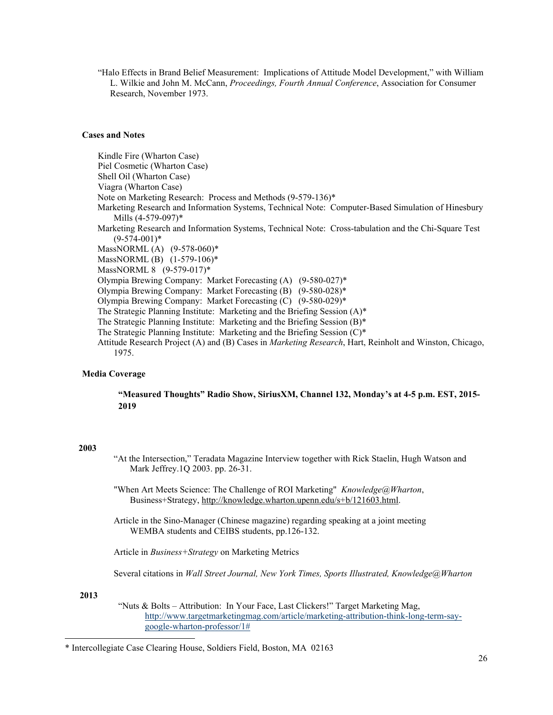"Halo Effects in Brand Belief Measurement: Implications of Attitude Model Development," with William L. Wilkie and John M. McCann, *Proceedings, Fourth Annual Conference*, Association for Consumer Research, November 1973.

## **Cases and Notes**

 Kindle Fire (Wharton Case) Piel Cosmetic (Wharton Case) Shell Oil (Wharton Case) Viagra (Wharton Case) Note on Marketing Research: Process and Methods (9-579-136)\* Marketing Research and Information Systems, Technical Note: Computer-Based Simulation of Hinesbury Mills (4-579-097)\* Marketing Research and Information Systems, Technical Note: Cross-tabulation and the Chi-Square Test  $(9-574-001)*$ MassNORML (A) (9-578-060)\* MassNORML (B) (1-579-106)\* MassNORML 8 (9-579-017)\* Olympia Brewing Company: Market Forecasting (A) (9-580-027)\* Olympia Brewing Company: Market Forecasting (B) (9-580-028)\* Olympia Brewing Company: Market Forecasting (C) (9-580-029)\* The Strategic Planning Institute: Marketing and the Briefing Session (A)\* The Strategic Planning Institute: Marketing and the Briefing Session (B)\* The Strategic Planning Institute: Marketing and the Briefing Session (C)\* Attitude Research Project (A) and (B) Cases in *Marketing Research*, Hart, Reinholt and Winston, Chicago, 1975.

## **Media Coverage**

**"Measured Thoughts" Radio Show, SiriusXM, Channel 132, Monday's at 4-5 p.m. EST, 2015- 2019** 

#### **2003**

- "At the Intersection," Teradata Magazine Interview together with Rick Staelin, Hugh Watson and Mark Jeffrey.1Q 2003. pp. 26-31.
- "When Art Meets Science: The Challenge of ROI Marketing" *Knowledge@Wharton*, Business+Strategy, http://knowledge.wharton.upenn.edu/s+b/121603.html.
- Article in the Sino-Manager (Chinese magazine) regarding speaking at a joint meeting WEMBA students and CEIBS students, pp.126-132.

Article in *Business+Strategy* on Marketing Metrics

Several citations in *Wall Street Journal, New York Times, Sports Illustrated, Knowledge@Wharton* 

**2013** 

"Nuts & Bolts – Attribution: In Your Face, Last Clickers!" Target Marketing Mag, http://www.targetmarketingmag.com/article/marketing-attribution-think-long-term-saygoogle-wharton-professor/1#

<sup>\*</sup> Intercollegiate Case Clearing House, Soldiers Field, Boston, MA 02163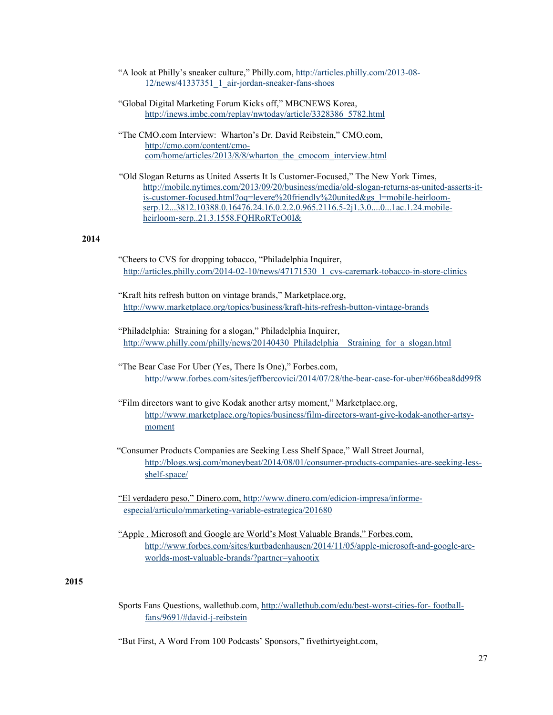- "A look at Philly's sneaker culture," Philly.com, http://articles.philly.com/2013-08- 12/news/41337351\_1\_air-jordan-sneaker-fans-shoes
- "Global Digital Marketing Forum Kicks off," MBCNEWS Korea, http://inews.imbc.com/replay/nwtoday/article/3328386\_5782.html
- "The CMO.com Interview: Wharton's Dr. David Reibstein," CMO.com, http://cmo.com/content/cmocom/home/articles/2013/8/8/wharton\_the\_cmocom\_interview.html
- "Old Slogan Returns as United Asserts It Is Customer-Focused," The New York Times, http://mobile.nytimes.com/2013/09/20/business/media/old-slogan-returns-as-united-asserts-itis-customer-focused.html?oq=levere%20friendly%20united&gs\_l=mobile-heirloomserp.12...3812.10388.0.16476.24.16.0.2.2.0.965.2116.5-2j1.3.0....0...1ac.1.24.mobileheirloom-serp..21.3.1558.FQHRoRTeO0I&

## **2014**

- "Cheers to CVS for dropping tobacco, "Philadelphia Inquirer, http://articles.philly.com/2014-02-10/news/47171530\_1\_cvs-caremark-tobacco-in-store-clinics
- "Kraft hits refresh button on vintage brands," Marketplace.org, http://www.marketplace.org/topics/business/kraft-hits-refresh-button-vintage-brands
- "Philadelphia: Straining for a slogan," Philadelphia Inquirer, http://www.philly.com/philly/news/20140430\_Philadelphia\_\_Straining\_for\_a\_slogan.html
- "The Bear Case For Uber (Yes, There Is One)," Forbes.com, http://www.forbes.com/sites/jeffbercovici/2014/07/28/the-bear-case-for-uber/#66bea8dd99f8
- "Film directors want to give Kodak another artsy moment," Marketplace.org, http://www.marketplace.org/topics/business/film-directors-want-give-kodak-another-artsymoment
- "Consumer Products Companies are Seeking Less Shelf Space," Wall Street Journal, http://blogs.wsj.com/moneybeat/2014/08/01/consumer-products-companies-are-seeking-lessshelf-space/
- "El verdadero peso," Dinero.com, http://www.dinero.com/edicion-impresa/informe especial/articulo/mmarketing-variable-estrategica/201680
- "Apple , Microsoft and Google are World's Most Valuable Brands," Forbes.com, http://www.forbes.com/sites/kurtbadenhausen/2014/11/05/apple-microsoft-and-google-areworlds-most-valuable-brands/?partner=yahootix

## **2015**

- Sports Fans Questions, wallethub.com, http://wallethub.com/edu/best-worst-cities-for- footballfans/9691/#david-j-reibstein
- "But First, A Word From 100 Podcasts' Sponsors," fivethirtyeight.com,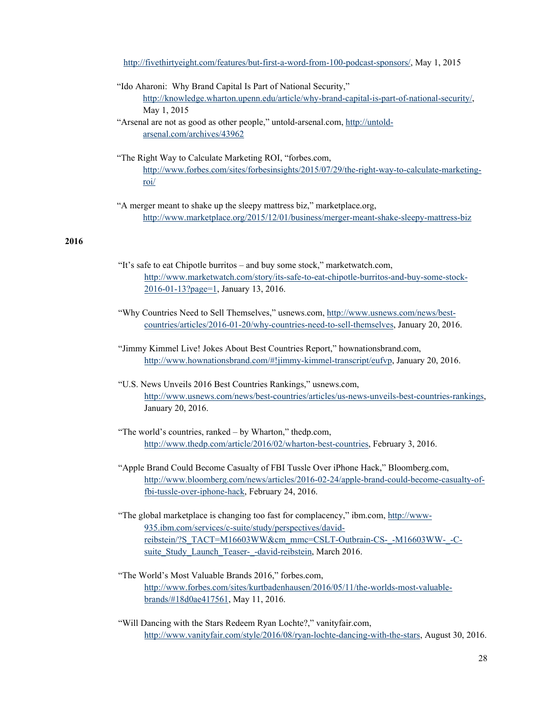http://fivethirtyeight.com/features/but-first-a-word-from-100-podcast-sponsors/, May 1, 2015

"Ido Aharoni: Why Brand Capital Is Part of National Security," http://knowledge.wharton.upenn.edu/article/why-brand-capital-is-part-of-national-security/, May 1, 2015

"Arsenal are not as good as other people," untold-arsenal.com, http://untoldarsenal.com/archives/43962

- "The Right Way to Calculate Marketing ROI, "forbes.com, http://www.forbes.com/sites/forbesinsights/2015/07/29/the-right-way-to-calculate-marketingroi/
- "A merger meant to shake up the sleepy mattress biz," marketplace.org, http://www.marketplace.org/2015/12/01/business/merger-meant-shake-sleepy-mattress-biz

# **2016**

- "It's safe to eat Chipotle burritos and buy some stock," marketwatch.com, http://www.marketwatch.com/story/its-safe-to-eat-chipotle-burritos-and-buy-some-stock-2016-01-13?page=1, January 13, 2016.
- "Why Countries Need to Sell Themselves," usnews.com, http://www.usnews.com/news/bestcountries/articles/2016-01-20/why-countries-need-to-sell-themselves, January 20, 2016.
- "Jimmy Kimmel Live! Jokes About Best Countries Report," hownationsbrand.com, http://www.hownationsbrand.com/#!jimmy-kimmel-transcript/eufvp, January 20, 2016.
- "U.S. News Unveils 2016 Best Countries Rankings," usnews.com, http://www.usnews.com/news/best-countries/articles/us-news-unveils-best-countries-rankings, January 20, 2016.
- "The world's countries, ranked by Wharton," thedp.com, http://www.thedp.com/article/2016/02/wharton-best-countries, February 3, 2016.
- "Apple Brand Could Become Casualty of FBI Tussle Over iPhone Hack," Bloomberg.com, http://www.bloomberg.com/news/articles/2016-02-24/apple-brand-could-become-casualty-offbi-tussle-over-iphone-hack, February 24, 2016.
- "The global marketplace is changing too fast for complacency," ibm.com, http://www-935.ibm.com/services/c-suite/study/perspectives/davidreibstein/?S\_TACT=M16603WW&cm\_mmc=CSLT-Outbrain-CS-\_-M16603WW-\_-Csuite\_Study\_Launch\_Teaser-\_-david-reibstein, March 2016.
- "The World's Most Valuable Brands 2016," forbes.com, http://www.forbes.com/sites/kurtbadenhausen/2016/05/11/the-worlds-most-valuablebrands/#18d0ae417561, May 11, 2016.
- "Will Dancing with the Stars Redeem Ryan Lochte?," vanityfair.com, http://www.vanityfair.com/style/2016/08/ryan-lochte-dancing-with-the-stars, August 30, 2016.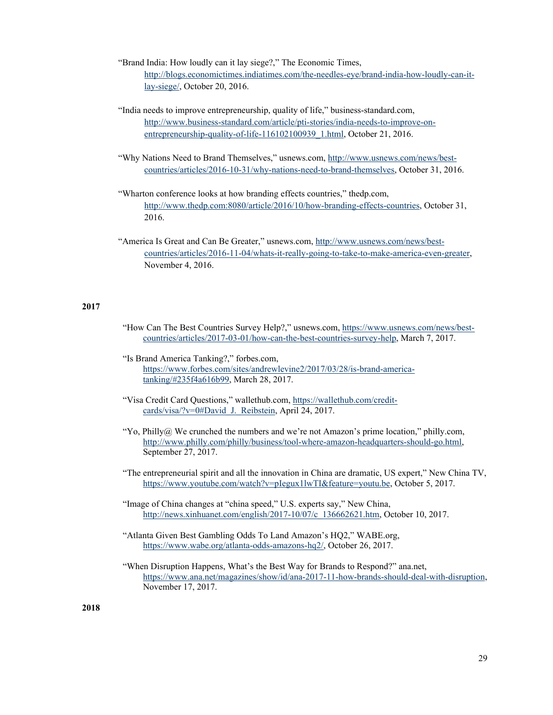"Brand India: How loudly can it lay siege?," The Economic Times, http://blogs.economictimes.indiatimes.com/the-needles-eye/brand-india-how-loudly-can-itlay-siege/, October 20, 2016.

"India needs to improve entrepreneurship, quality of life," business-standard.com, http://www.business-standard.com/article/pti-stories/india-needs-to-improve-onentrepreneurship-quality-of-life-116102100939\_1.html, October 21, 2016.

- "Why Nations Need to Brand Themselves," usnews.com, http://www.usnews.com/news/bestcountries/articles/2016-10-31/why-nations-need-to-brand-themselves, October 31, 2016.
- "Wharton conference looks at how branding effects countries," thedp.com, http://www.thedp.com:8080/article/2016/10/how-branding-effects-countries, October 31, 2016.
- "America Is Great and Can Be Greater," usnews.com, http://www.usnews.com/news/bestcountries/articles/2016-11-04/whats-it-really-going-to-take-to-make-america-even-greater, November 4, 2016.

## **2017**

- "How Can The Best Countries Survey Help?," usnews.com, https://www.usnews.com/news/bestcountries/articles/2017-03-01/how-can-the-best-countries-survey-help, March 7, 2017.
- "Is Brand America Tanking?," forbes.com, https://www.forbes.com/sites/andrewlevine2/2017/03/28/is-brand-americatanking/#235f4a616b99, March 28, 2017.
- "Visa Credit Card Questions," wallethub.com, https://wallethub.com/creditcards/visa/?v=0#David J. Reibstein, April 24, 2017.
- "Yo, Philly@ We crunched the numbers and we're not Amazon's prime location," philly.com, http://www.philly.com/philly/business/tool-where-amazon-headquarters-should-go.html, September 27, 2017.
- "The entrepreneurial spirit and all the innovation in China are dramatic, US expert," New China TV, https://www.youtube.com/watch?v=pIegux1lwTI&feature=youtu.be, October 5, 2017.
- "Image of China changes at "china speed," U.S. experts say," New China, http://news.xinhuanet.com/english/2017-10/07/c\_136662621.htm, October 10, 2017.
- "Atlanta Given Best Gambling Odds To Land Amazon's HQ2," WABE.org, https://www.wabe.org/atlanta-odds-amazons-hq2/, October 26, 2017.
- "When Disruption Happens, What's the Best Way for Brands to Respond?" ana.net, https://www.ana.net/magazines/show/id/ana-2017-11-how-brands-should-deal-with-disruption, November 17, 2017.

 **2018**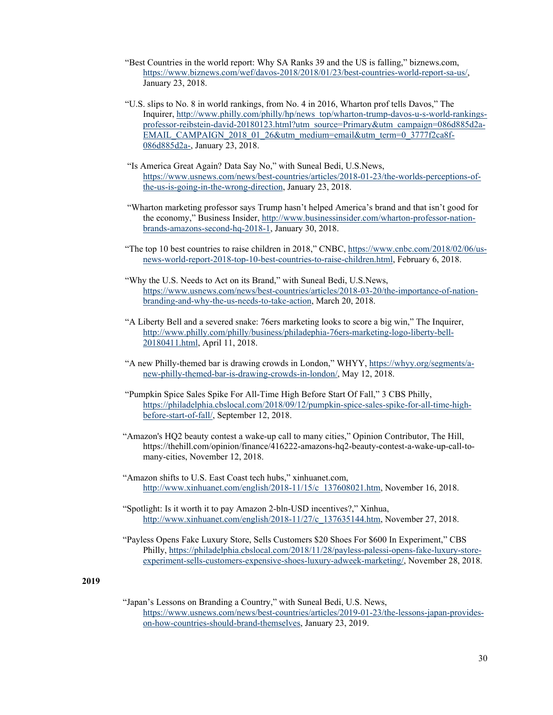- "Best Countries in the world report: Why SA Ranks 39 and the US is falling," biznews.com, https://www.biznews.com/wef/davos-2018/2018/01/23/best-countries-world-report-sa-us/, January 23, 2018.
- "U.S. slips to No. 8 in world rankings, from No. 4 in 2016, Wharton prof tells Davos," The Inquirer, http://www.philly.com/philly/hp/news\_top/wharton-trump-davos-u-s-world-rankingsprofessor-reibstein-david-20180123.html?utm\_source=Primary&utm\_campaign=086d885d2a-EMAIL\_CAMPAIGN\_2018\_01\_26&utm\_medium=email&utm\_term=0\_3777f2ca8f-086d885d2a-, January 23, 2018.
- "Is America Great Again? Data Say No," with Suneal Bedi, U.S.News, https://www.usnews.com/news/best-countries/articles/2018-01-23/the-worlds-perceptions-ofthe-us-is-going-in-the-wrong-direction, January 23, 2018.
- "Wharton marketing professor says Trump hasn't helped America's brand and that isn't good for the economy," Business Insider, http://www.businessinsider.com/wharton-professor-nationbrands-amazons-second-hq-2018-1, January 30, 2018.
- "The top 10 best countries to raise children in 2018," CNBC, https://www.cnbc.com/2018/02/06/usnews-world-report-2018-top-10-best-countries-to-raise-children.html, February 6, 2018.
- "Why the U.S. Needs to Act on its Brand," with Suneal Bedi, U.S.News, https://www.usnews.com/news/best-countries/articles/2018-03-20/the-importance-of-nationbranding-and-why-the-us-needs-to-take-action, March 20, 2018.
- "A Liberty Bell and a severed snake: 76ers marketing looks to score a big win," The Inquirer, http://www.philly.com/philly/business/philadephia-76ers-marketing-logo-liberty-bell-20180411.html, April 11, 2018.
- "A new Philly-themed bar is drawing crowds in London," WHYY, https://whyy.org/segments/anew-philly-themed-bar-is-drawing-crowds-in-london/, May 12, 2018.
- "Pumpkin Spice Sales Spike For All-Time High Before Start Of Fall," 3 CBS Philly, https://philadelphia.cbslocal.com/2018/09/12/pumpkin-spice-sales-spike-for-all-time-highbefore-start-of-fall/, September 12, 2018.
- "Amazon's HQ2 beauty contest a wake-up call to many cities," Opinion Contributor, The Hill, https://thehill.com/opinion/finance/416222-amazons-hq2-beauty-contest-a-wake-up-call-tomany-cities, November 12, 2018.
- "Amazon shifts to U.S. East Coast tech hubs," xinhuanet.com, http://www.xinhuanet.com/english/2018-11/15/c\_137608021.htm, November 16, 2018.
- "Spotlight: Is it worth it to pay Amazon 2-bln-USD incentives?," Xinhua, http://www.xinhuanet.com/english/2018-11/27/c\_137635144.htm, November 27, 2018.
- "Payless Opens Fake Luxury Store, Sells Customers \$20 Shoes For \$600 In Experiment," CBS Philly, https://philadelphia.cbslocal.com/2018/11/28/payless-palessi-opens-fake-luxury-storeexperiment-sells-customers-expensive-shoes-luxury-adweek-marketing/, November 28, 2018.

## **2019**

 "Japan's Lessons on Branding a Country," with Suneal Bedi, U.S. News, https://www.usnews.com/news/best-countries/articles/2019-01-23/the-lessons-japan-provideson-how-countries-should-brand-themselves, January 23, 2019.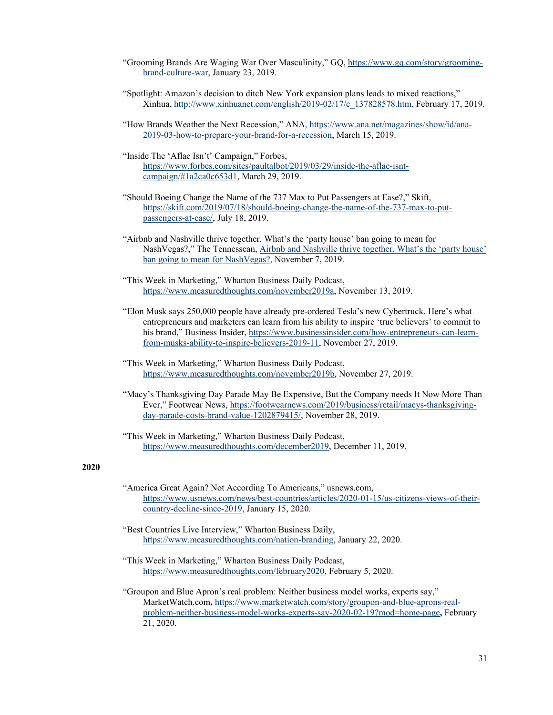- "Grooming Brands Are Waging War Over Masculinity," GQ, https://www.gq.com/story/groomingbrand-culture-war, January 23, 2019.
- "Spotlight: Amazon's decision to ditch New York expansion plans leads to mixed reactions," Xinhua, http://www.xinhuanet.com/english/2019-02/17/c\_137828578.htm, February 17, 2019.

 "How Brands Weather the Next Recession," ANA, https://www.ana.net/magazines/show/id/ana-2019-03-how-to-prepare-your-brand-for-a-recession, March 15, 2019.

"Inside The 'Aflac Isn't' Campaign," Forbes, https://www.forbes.com/sites/paultalbot/2019/03/29/inside-the-aflac-isntcampaign/#1a2ca0c653d1, March 29, 2019.

- "Should Boeing Change the Name of the 737 Max to Put Passengers at Ease?," Skift, https://skift.com/2019/07/18/should-boeing-change-the-name-of-the-737-max-to-putpassengers-at-ease/, July 18, 2019.
- "Airbnb and Nashville thrive together. What's the 'party house' ban going to mean for NashVegas?," The Tennessean, Airbnb and Nashville thrive together. What's the 'party house' ban going to mean for NashVegas?, November 7, 2019.

 "This Week in Marketing," Wharton Business Daily Podcast, https://www.measuredthoughts.com/november2019a, November 13, 2019.

- "Elon Musk says 250,000 people have already pre-ordered Tesla's new Cybertruck. Here's what entrepreneurs and marketers can learn from his ability to inspire 'true believers' to commit to his brand," Business Insider, https://www.businessinsider.com/how-entrepreneurs-can-learnfrom-musks-ability-to-inspire-believers-2019-11, November 27, 2019.
- "This Week in Marketing," Wharton Business Daily Podcast, https://www.measuredthoughts.com/november2019b, November 27, 2019.
- "Macy's Thanksgiving Day Parade May Be Expensive, But the Company needs It Now More Than Ever," Footwear News, https://footwearnews.com/2019/business/retail/macys-thanksgivingday-parade-costs-brand-value-1202879415/, November 28, 2019.

 "This Week in Marketing," Wharton Business Daily Podcast, https://www.measuredthoughts.com/december2019, December 11, 2019.

## **2020**

- "America Great Again? Not According To Americans," usnews.com, https://www.usnews.com/news/best-countries/articles/2020-01-15/us-citizens-views-of-theircountry-decline-since-2019, January 15, 2020.
- "Best Countries Live Interview," Wharton Business Daily, https://www.measuredthoughts.com/nation-branding, January 22, 2020.
- "This Week in Marketing," Wharton Business Daily Podcast, https://www.measuredthoughts.com/february2020, February 5, 2020.

 "Groupon and Blue Apron's real problem: Neither business model works, experts say," MarketWatch.com**,** https://www.marketwatch.com/story/groupon-and-blue-aprons-realproblem-neither-business-model-works-experts-say-2020-02-19?mod=home-page**,** February 21, 2020.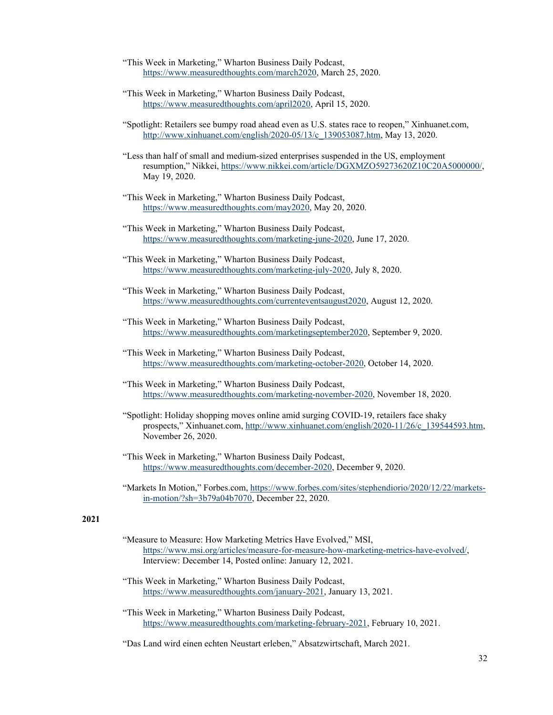- "This Week in Marketing," Wharton Business Daily Podcast, https://www.measuredthoughts.com/march2020, March 25, 2020.
- "This Week in Marketing," Wharton Business Daily Podcast, https://www.measuredthoughts.com/april2020, April 15, 2020.
- "Spotlight: Retailers see bumpy road ahead even as U.S. states race to reopen," Xinhuanet.com, http://www.xinhuanet.com/english/2020-05/13/c\_139053087.htm, May 13, 2020.
- "Less than half of small and medium-sized enterprises suspended in the US, employment resumption," Nikkei, https://www.nikkei.com/article/DGXMZO59273620Z10C20A5000000/, May 19, 2020.
- "This Week in Marketing," Wharton Business Daily Podcast, https://www.measuredthoughts.com/may2020, May 20, 2020.
- "This Week in Marketing," Wharton Business Daily Podcast, https://www.measuredthoughts.com/marketing-june-2020, June 17, 2020.
- "This Week in Marketing," Wharton Business Daily Podcast, https://www.measuredthoughts.com/marketing-july-2020, July 8, 2020.
- "This Week in Marketing," Wharton Business Daily Podcast, https://www.measuredthoughts.com/currenteventsaugust2020, August 12, 2020.
- "This Week in Marketing," Wharton Business Daily Podcast, https://www.measuredthoughts.com/marketingseptember2020, September 9, 2020.
- "This Week in Marketing," Wharton Business Daily Podcast, https://www.measuredthoughts.com/marketing-october-2020, October 14, 2020.
- "This Week in Marketing," Wharton Business Daily Podcast, https://www.measuredthoughts.com/marketing-november-2020, November 18, 2020.
- "Spotlight: Holiday shopping moves online amid surging COVID-19, retailers face shaky prospects," Xinhuanet.com, http://www.xinhuanet.com/english/2020-11/26/c\_139544593.htm, November 26, 2020.
- "This Week in Marketing," Wharton Business Daily Podcast, https://www.measuredthoughts.com/december-2020, December 9, 2020.
- "Markets In Motion," Forbes.com, https://www.forbes.com/sites/stephendiorio/2020/12/22/marketsin-motion/?sh=3b79a04b7070, December 22, 2020.

# **2021**

- "Measure to Measure: How Marketing Metrics Have Evolved," MSI, https://www.msi.org/articles/measure-for-measure-how-marketing-metrics-have-evolved/, Interview: December 14, Posted online: January 12, 2021.
- "This Week in Marketing," Wharton Business Daily Podcast, https://www.measuredthoughts.com/january-2021, January 13, 2021.
- "This Week in Marketing," Wharton Business Daily Podcast, https://www.measuredthoughts.com/marketing-february-2021, February 10, 2021.

"Das Land wird einen echten Neustart erleben," Absatzwirtschaft, March 2021.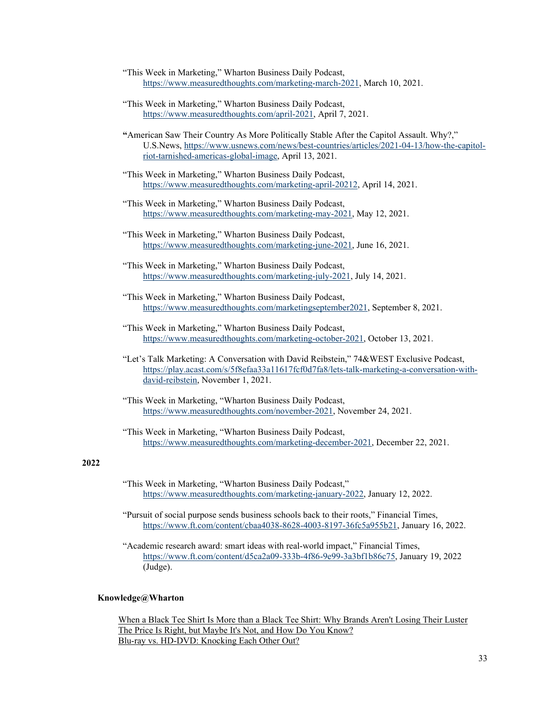- "This Week in Marketing," Wharton Business Daily Podcast, https://www.measuredthoughts.com/marketing-march-2021, March 10, 2021.
- "This Week in Marketing," Wharton Business Daily Podcast, https://www.measuredthoughts.com/april-2021, April 7, 2021.
- **"**American Saw Their Country As More Politically Stable After the Capitol Assault. Why?," U.S.News, https://www.usnews.com/news/best-countries/articles/2021-04-13/how-the-capitolriot-tarnished-americas-global-image, April 13, 2021.
- "This Week in Marketing," Wharton Business Daily Podcast, https://www.measuredthoughts.com/marketing-april-20212, April 14, 2021.
- "This Week in Marketing," Wharton Business Daily Podcast, https://www.measuredthoughts.com/marketing-may-2021, May 12, 2021.
- "This Week in Marketing," Wharton Business Daily Podcast, https://www.measuredthoughts.com/marketing-june-2021, June 16, 2021.
- "This Week in Marketing," Wharton Business Daily Podcast, https://www.measuredthoughts.com/marketing-july-2021, July 14, 2021.
- "This Week in Marketing," Wharton Business Daily Podcast, https://www.measuredthoughts.com/marketingseptember2021, September 8, 2021.
- "This Week in Marketing," Wharton Business Daily Podcast, https://www.measuredthoughts.com/marketing-october-2021, October 13, 2021.
- "Let's Talk Marketing: A Conversation with David Reibstein," 74&WEST Exclusive Podcast, https://play.acast.com/s/5f8efaa33a11617fcf0d7fa8/lets-talk-marketing-a-conversation-withdavid-reibstein, November 1, 2021.
- "This Week in Marketing, "Wharton Business Daily Podcast, https://www.measuredthoughts.com/november-2021, November 24, 2021.
- "This Week in Marketing, "Wharton Business Daily Podcast, https://www.measuredthoughts.com/marketing-december-2021, December 22, 2021.

# **2022**

- "This Week in Marketing, "Wharton Business Daily Podcast," https://www.measuredthoughts.com/marketing-january-2022, January 12, 2022.
- "Pursuit of social purpose sends business schools back to their roots," Financial Times, https://www.ft.com/content/cbaa4038-8628-4003-8197-36fc5a955b21, January 16, 2022.
- "Academic research award: smart ideas with real-world impact," Financial Times, https://www.ft.com/content/d5ca2a09-333b-4f86-9e99-3a3bf1b86c75, January 19, 2022 (Judge).

## **Knowledge@Wharton**

When a Black Tee Shirt Is More than a Black Tee Shirt: Why Brands Aren't Losing Their Luster The Price Is Right, but Maybe It's Not, and How Do You Know? Blu-ray vs. HD-DVD: Knocking Each Other Out?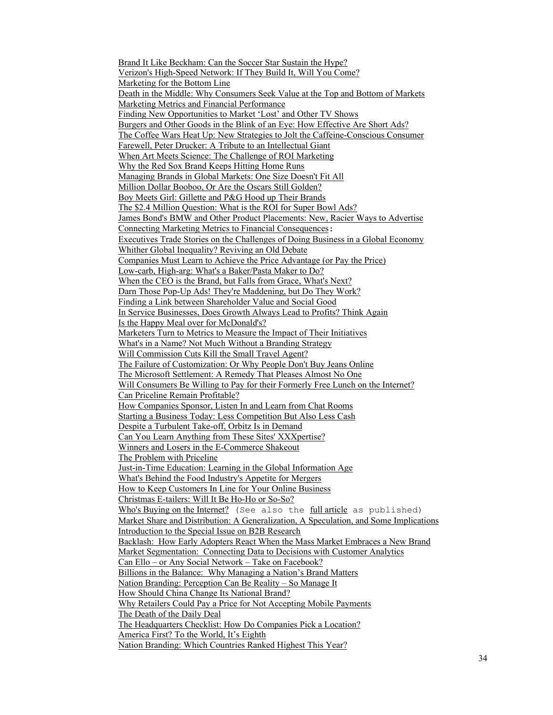Brand It Like Beckham: Can the Soccer Star Sustain the Hype? Verizon's High-Speed Network: If They Build It, Will You Come? Marketing for the Bottom Line Death in the Middle: Why Consumers Seek Value at the Top and Bottom of Markets Marketing Metrics and Financial Performance Finding New Opportunities to Market 'Lost' and Other TV Shows Burgers and Other Goods in the Blink of an Eye: How Effective Are Short Ads? The Coffee Wars Heat Up: New Strategies to Jolt the Caffeine-Conscious Consumer Farewell, Peter Drucker: A Tribute to an Intellectual Giant When Art Meets Science: The Challenge of ROI Marketing Why the Red Sox Brand Keeps Hitting Home Runs Managing Brands in Global Markets: One Size Doesn't Fit All Million Dollar Booboo, Or Are the Oscars Still Golden? Boy Meets Girl: Gillette and P&G Hood up Their Brands The \$2.4 Million Question: What is the ROI for Super Bowl Ads? James Bond's BMW and Other Product Placements: New, Racier Ways to Advertise Connecting Marketing Metrics to Financial Consequences: Executives Trade Stories on the Challenges of Doing Business in a Global Economy Whither Global Inequality? Reviving an Old Debate Companies Must Learn to Achieve the Price Advantage (or Pay the Price) Low-carb, High-arg: What's a Baker/Pasta Maker to Do? When the CEO is the Brand, but Falls from Grace, What's Next? Darn Those Pop-Up Ads! They're Maddening, but Do They Work? Finding a Link between Shareholder Value and Social Good In Service Businesses, Does Growth Always Lead to Profits? Think Again Is the Happy Meal over for McDonald's? Marketers Turn to Metrics to Measure the Impact of Their Initiatives What's in a Name? Not Much Without a Branding Strategy Will Commission Cuts Kill the Small Travel Agent? The Failure of Customization: Or Why People Don't Buy Jeans Online The Microsoft Settlement: A Remedy That Pleases Almost No One Will Consumers Be Willing to Pay for their Formerly Free Lunch on the Internet? Can Priceline Remain Profitable? How Companies Sponsor, Listen In and Learn from Chat Rooms Starting a Business Today: Less Competition But Also Less Cash Despite a Turbulent Take-off, Orbitz Is in Demand Can You Learn Anything from These Sites' XXXpertise? Winners and Losers in the E-Commerce Shakeout The Problem with Priceline Just-in-Time Education: Learning in the Global Information Age What's Behind the Food Industry's Appetite for Mergers How to Keep Customers In Line for Your Online Business Christmas E-tailers: Will It Be Ho-Ho or So-So? Who's Buying on the Internet? (See also the full article as published) Market Share and Distribution: A Generalization, A Speculation, and Some Implications Introduction to the Special Issue on B2B Research Backlash: How Early Adopters React When the Mass Market Embraces a New Brand Market Segmentation: Connecting Data to Decisions with Customer Analytics Can Ello – or Any Social Network – Take on Facebook? Billions in the Balance: Why Managing a Nation's Brand Matters Nation Branding: Perception Can Be Reality – So Manage It How Should China Change Its National Brand? Why Retailers Could Pay a Price for Not Accepting Mobile Payments The Death of the Daily Deal The Headquarters Checklist: How Do Companies Pick a Location? America First? To the World, It's Eighth Nation Branding: Which Countries Ranked Highest This Year?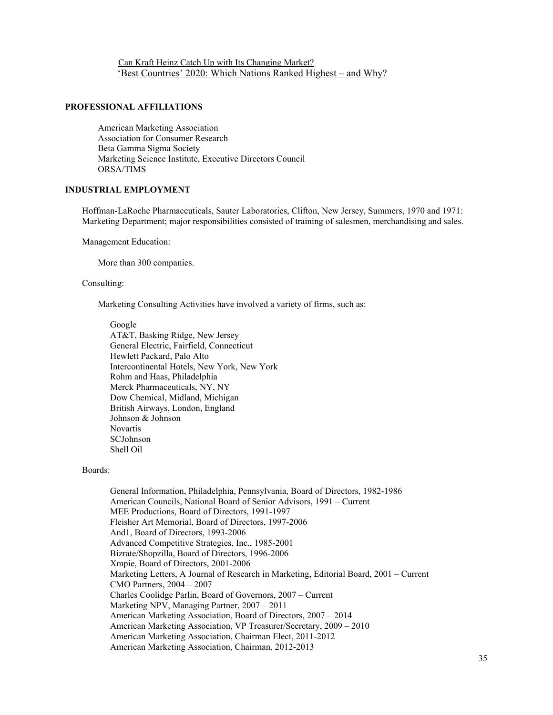Can Kraft Heinz Catch Up with Its Changing Market? 'Best Countries' 2020: Which Nations Ranked Highest – and Why?

## **PROFESSIONAL AFFILIATIONS**

American Marketing Association Association for Consumer Research Beta Gamma Sigma Society Marketing Science Institute, Executive Directors Council ORSA/TIMS

### **INDUSTRIAL EMPLOYMENT**

Hoffman-LaRoche Pharmaceuticals, Sauter Laboratories, Clifton, New Jersey, Summers, 1970 and 1971: Marketing Department; major responsibilities consisted of training of salesmen, merchandising and sales.

Management Education:

More than 300 companies.

### Consulting:

Marketing Consulting Activities have involved a variety of firms, such as:

Google AT&T, Basking Ridge, New Jersey General Electric, Fairfield, Connecticut Hewlett Packard, Palo Alto Intercontinental Hotels, New York, New York Rohm and Haas, Philadelphia Merck Pharmaceuticals, NY, NY Dow Chemical, Midland, Michigan British Airways, London, England Johnson & Johnson Novartis SCJohnson Shell Oil

### Boards:

General Information, Philadelphia, Pennsylvania, Board of Directors, 1982-1986 American Councils, National Board of Senior Advisors, 1991 – Current MEE Productions, Board of Directors, 1991-1997 Fleisher Art Memorial, Board of Directors, 1997-2006 And1, Board of Directors, 1993-2006 Advanced Competitive Strategies, Inc., 1985-2001 Bizrate/Shopzilla, Board of Directors, 1996-2006 Xmpie, Board of Directors, 2001-2006 Marketing Letters, A Journal of Research in Marketing, Editorial Board, 2001 – Current CMO Partners, 2004 – 2007 Charles Coolidge Parlin, Board of Governors, 2007 – Current Marketing NPV, Managing Partner, 2007 – 2011 American Marketing Association, Board of Directors, 2007 – 2014 American Marketing Association, VP Treasurer/Secretary, 2009 – 2010 American Marketing Association, Chairman Elect, 2011-2012 American Marketing Association, Chairman, 2012-2013